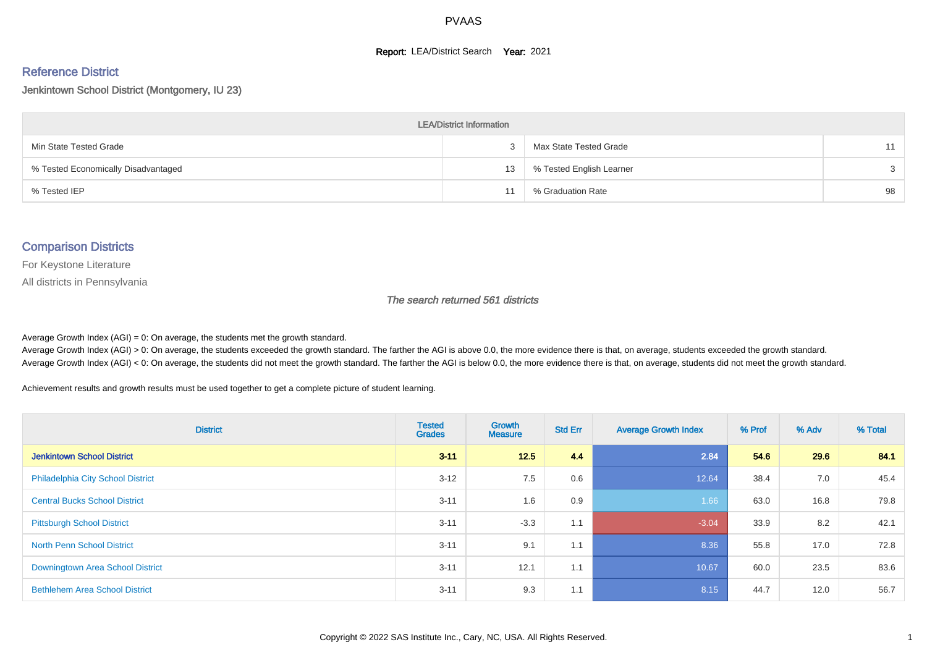#### **Report: LEA/District Search Year: 2021**

# Reference District

Jenkintown School District (Montgomery, IU 23)

| <b>LEA/District Information</b>     |    |                          |    |  |  |  |  |  |  |  |
|-------------------------------------|----|--------------------------|----|--|--|--|--|--|--|--|
| Min State Tested Grade              |    | Max State Tested Grade   | 11 |  |  |  |  |  |  |  |
| % Tested Economically Disadvantaged | 13 | % Tested English Learner | 3  |  |  |  |  |  |  |  |
| % Tested IEP                        |    | % Graduation Rate        | 98 |  |  |  |  |  |  |  |

#### Comparison Districts

For Keystone Literature

All districts in Pennsylvania

The search returned 561 districts

Average Growth Index  $(AGI) = 0$ : On average, the students met the growth standard.

Average Growth Index (AGI) > 0: On average, the students exceeded the growth standard. The farther the AGI is above 0.0, the more evidence there is that, on average, students exceeded the growth standard. Average Growth Index (AGI) < 0: On average, the students did not meet the growth standard. The farther the AGI is below 0.0, the more evidence there is that, on average, students did not meet the growth standard.

Achievement results and growth results must be used together to get a complete picture of student learning.

| <b>District</b>                          | <b>Tested</b><br><b>Grades</b> | <b>Growth</b><br><b>Measure</b> | <b>Std Err</b> | <b>Average Growth Index</b> | % Prof | % Adv | % Total |
|------------------------------------------|--------------------------------|---------------------------------|----------------|-----------------------------|--------|-------|---------|
| <b>Jenkintown School District</b>        | $3 - 11$                       | 12.5                            | 4.4            | 2.84                        | 54.6   | 29.6  | 84.1    |
| <b>Philadelphia City School District</b> | $3 - 12$                       | 7.5                             | 0.6            | 12.64                       | 38.4   | 7.0   | 45.4    |
| <b>Central Bucks School District</b>     | $3 - 11$                       | 1.6                             | 0.9            | 1.66                        | 63.0   | 16.8  | 79.8    |
| <b>Pittsburgh School District</b>        | $3 - 11$                       | $-3.3$                          | 1.1            | $-3.04$                     | 33.9   | 8.2   | 42.1    |
| <b>North Penn School District</b>        | $3 - 11$                       | 9.1                             | 1.1            | 8.36                        | 55.8   | 17.0  | 72.8    |
| Downingtown Area School District         | $3 - 11$                       | 12.1                            | 1.1            | 10.67                       | 60.0   | 23.5  | 83.6    |
| <b>Bethlehem Area School District</b>    | $3 - 11$                       | 9.3                             | 1.1            | 8.15                        | 44.7   | 12.0  | 56.7    |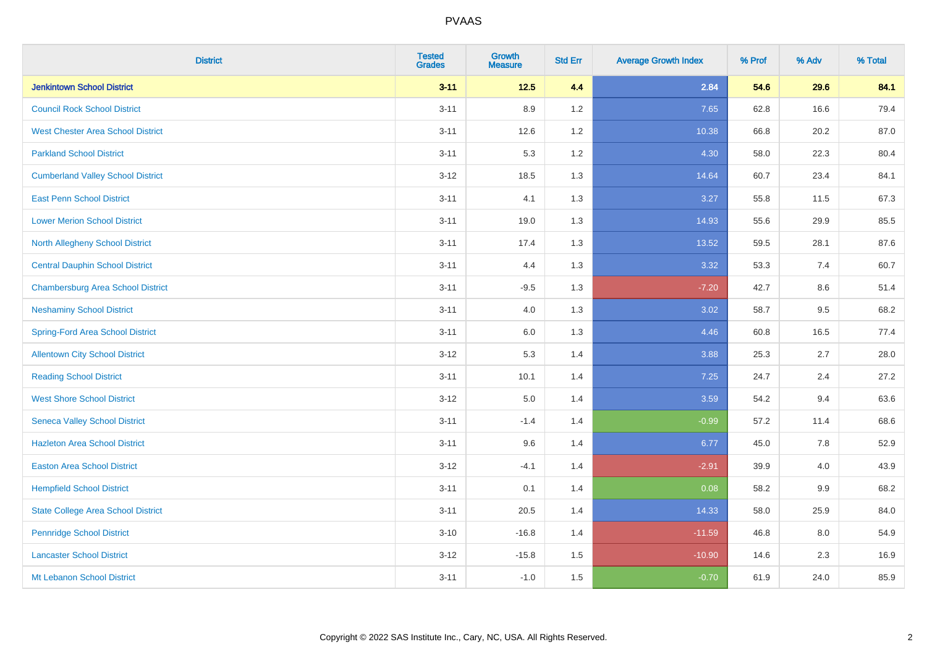| <b>District</b>                           | <b>Tested</b><br><b>Grades</b> | <b>Growth</b><br><b>Measure</b> | <b>Std Err</b> | <b>Average Growth Index</b> | % Prof | % Adv | % Total |
|-------------------------------------------|--------------------------------|---------------------------------|----------------|-----------------------------|--------|-------|---------|
| <b>Jenkintown School District</b>         | $3 - 11$                       | $12.5$                          | 4.4            | 2.84                        | 54.6   | 29.6  | 84.1    |
| <b>Council Rock School District</b>       | $3 - 11$                       | 8.9                             | 1.2            | 7.65                        | 62.8   | 16.6  | 79.4    |
| <b>West Chester Area School District</b>  | $3 - 11$                       | 12.6                            | 1.2            | 10.38                       | 66.8   | 20.2  | 87.0    |
| <b>Parkland School District</b>           | $3 - 11$                       | 5.3                             | 1.2            | 4.30                        | 58.0   | 22.3  | 80.4    |
| <b>Cumberland Valley School District</b>  | $3 - 12$                       | 18.5                            | 1.3            | 14.64                       | 60.7   | 23.4  | 84.1    |
| <b>East Penn School District</b>          | $3 - 11$                       | 4.1                             | 1.3            | 3.27                        | 55.8   | 11.5  | 67.3    |
| <b>Lower Merion School District</b>       | $3 - 11$                       | 19.0                            | 1.3            | 14.93                       | 55.6   | 29.9  | 85.5    |
| <b>North Allegheny School District</b>    | $3 - 11$                       | 17.4                            | 1.3            | 13.52                       | 59.5   | 28.1  | 87.6    |
| <b>Central Dauphin School District</b>    | $3 - 11$                       | 4.4                             | 1.3            | 3.32                        | 53.3   | 7.4   | 60.7    |
| <b>Chambersburg Area School District</b>  | $3 - 11$                       | $-9.5$                          | 1.3            | $-7.20$                     | 42.7   | 8.6   | 51.4    |
| <b>Neshaminy School District</b>          | $3 - 11$                       | 4.0                             | 1.3            | 3.02                        | 58.7   | 9.5   | 68.2    |
| Spring-Ford Area School District          | $3 - 11$                       | 6.0                             | 1.3            | 4.46                        | 60.8   | 16.5  | 77.4    |
| <b>Allentown City School District</b>     | $3 - 12$                       | 5.3                             | 1.4            | 3.88                        | 25.3   | 2.7   | 28.0    |
| <b>Reading School District</b>            | $3 - 11$                       | 10.1                            | 1.4            | 7.25                        | 24.7   | 2.4   | 27.2    |
| <b>West Shore School District</b>         | $3 - 12$                       | 5.0                             | 1.4            | 3.59                        | 54.2   | 9.4   | 63.6    |
| <b>Seneca Valley School District</b>      | $3 - 11$                       | $-1.4$                          | 1.4            | $-0.99$                     | 57.2   | 11.4  | 68.6    |
| <b>Hazleton Area School District</b>      | $3 - 11$                       | 9.6                             | 1.4            | 6.77                        | 45.0   | 7.8   | 52.9    |
| <b>Easton Area School District</b>        | $3 - 12$                       | $-4.1$                          | 1.4            | $-2.91$                     | 39.9   | 4.0   | 43.9    |
| <b>Hempfield School District</b>          | $3 - 11$                       | 0.1                             | 1.4            | 0.08                        | 58.2   | 9.9   | 68.2    |
| <b>State College Area School District</b> | $3 - 11$                       | 20.5                            | 1.4            | 14.33                       | 58.0   | 25.9  | 84.0    |
| <b>Pennridge School District</b>          | $3 - 10$                       | $-16.8$                         | 1.4            | $-11.59$                    | 46.8   | 8.0   | 54.9    |
| <b>Lancaster School District</b>          | $3 - 12$                       | $-15.8$                         | 1.5            | $-10.90$                    | 14.6   | 2.3   | 16.9    |
| Mt Lebanon School District                | $3 - 11$                       | $-1.0$                          | 1.5            | $-0.70$                     | 61.9   | 24.0  | 85.9    |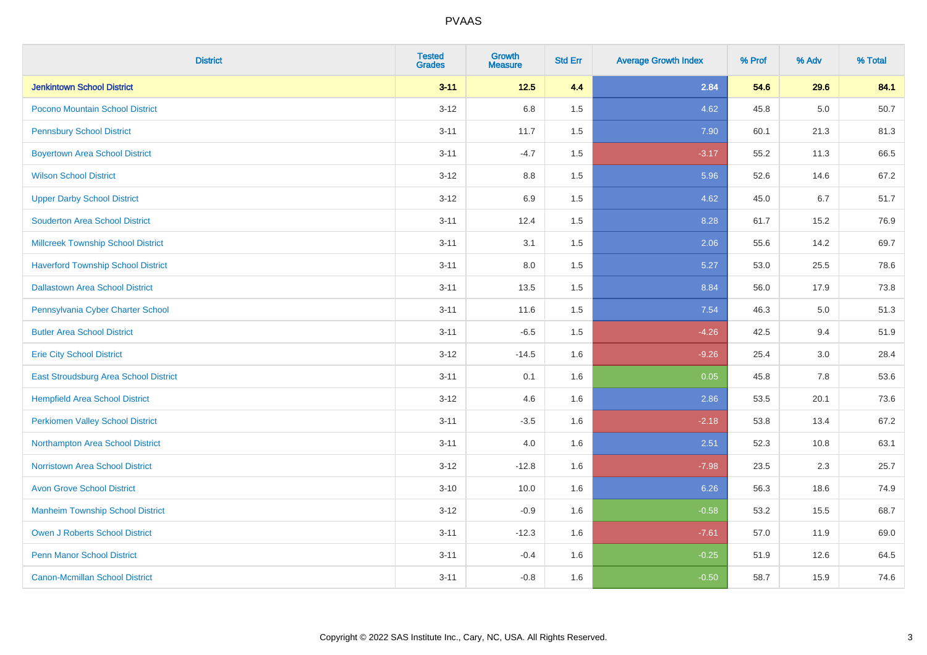| <b>District</b>                           | <b>Tested</b><br><b>Grades</b> | <b>Growth</b><br><b>Measure</b> | <b>Std Err</b> | <b>Average Growth Index</b> | % Prof | % Adv | % Total |
|-------------------------------------------|--------------------------------|---------------------------------|----------------|-----------------------------|--------|-------|---------|
| <b>Jenkintown School District</b>         | $3 - 11$                       | $12.5$                          | 4.4            | 2.84                        | 54.6   | 29.6  | 84.1    |
| Pocono Mountain School District           | $3 - 12$                       | 6.8                             | 1.5            | 4.62                        | 45.8   | 5.0   | 50.7    |
| <b>Pennsbury School District</b>          | $3 - 11$                       | 11.7                            | 1.5            | 7.90                        | 60.1   | 21.3  | 81.3    |
| <b>Boyertown Area School District</b>     | $3 - 11$                       | $-4.7$                          | 1.5            | $-3.17$                     | 55.2   | 11.3  | 66.5    |
| <b>Wilson School District</b>             | $3 - 12$                       | 8.8                             | 1.5            | 5.96                        | 52.6   | 14.6  | 67.2    |
| <b>Upper Darby School District</b>        | $3 - 12$                       | 6.9                             | 1.5            | 4.62                        | 45.0   | 6.7   | 51.7    |
| <b>Souderton Area School District</b>     | $3 - 11$                       | 12.4                            | 1.5            | 8.28                        | 61.7   | 15.2  | 76.9    |
| <b>Millcreek Township School District</b> | $3 - 11$                       | 3.1                             | 1.5            | 2.06                        | 55.6   | 14.2  | 69.7    |
| <b>Haverford Township School District</b> | $3 - 11$                       | 8.0                             | 1.5            | 5.27                        | 53.0   | 25.5  | 78.6    |
| <b>Dallastown Area School District</b>    | $3 - 11$                       | 13.5                            | 1.5            | 8.84                        | 56.0   | 17.9  | 73.8    |
| Pennsylvania Cyber Charter School         | $3 - 11$                       | 11.6                            | 1.5            | 7.54                        | 46.3   | 5.0   | 51.3    |
| <b>Butler Area School District</b>        | $3 - 11$                       | $-6.5$                          | 1.5            | $-4.26$                     | 42.5   | 9.4   | 51.9    |
| <b>Erie City School District</b>          | $3 - 12$                       | $-14.5$                         | 1.6            | $-9.26$                     | 25.4   | 3.0   | 28.4    |
| East Stroudsburg Area School District     | $3 - 11$                       | 0.1                             | 1.6            | 0.05                        | 45.8   | 7.8   | 53.6    |
| <b>Hempfield Area School District</b>     | $3 - 12$                       | 4.6                             | 1.6            | 2.86                        | 53.5   | 20.1  | 73.6    |
| <b>Perkiomen Valley School District</b>   | $3 - 11$                       | $-3.5$                          | 1.6            | $-2.18$                     | 53.8   | 13.4  | 67.2    |
| Northampton Area School District          | $3 - 11$                       | 4.0                             | 1.6            | 2.51                        | 52.3   | 10.8  | 63.1    |
| <b>Norristown Area School District</b>    | $3 - 12$                       | $-12.8$                         | 1.6            | $-7.98$                     | 23.5   | 2.3   | 25.7    |
| <b>Avon Grove School District</b>         | $3 - 10$                       | 10.0                            | 1.6            | 6.26                        | 56.3   | 18.6  | 74.9    |
| <b>Manheim Township School District</b>   | $3 - 12$                       | $-0.9$                          | 1.6            | $-0.58$                     | 53.2   | 15.5  | 68.7    |
| <b>Owen J Roberts School District</b>     | $3 - 11$                       | $-12.3$                         | 1.6            | $-7.61$                     | 57.0   | 11.9  | 69.0    |
| <b>Penn Manor School District</b>         | $3 - 11$                       | $-0.4$                          | 1.6            | $-0.25$                     | 51.9   | 12.6  | 64.5    |
| <b>Canon-Mcmillan School District</b>     | $3 - 11$                       | $-0.8$                          | 1.6            | $-0.50$                     | 58.7   | 15.9  | 74.6    |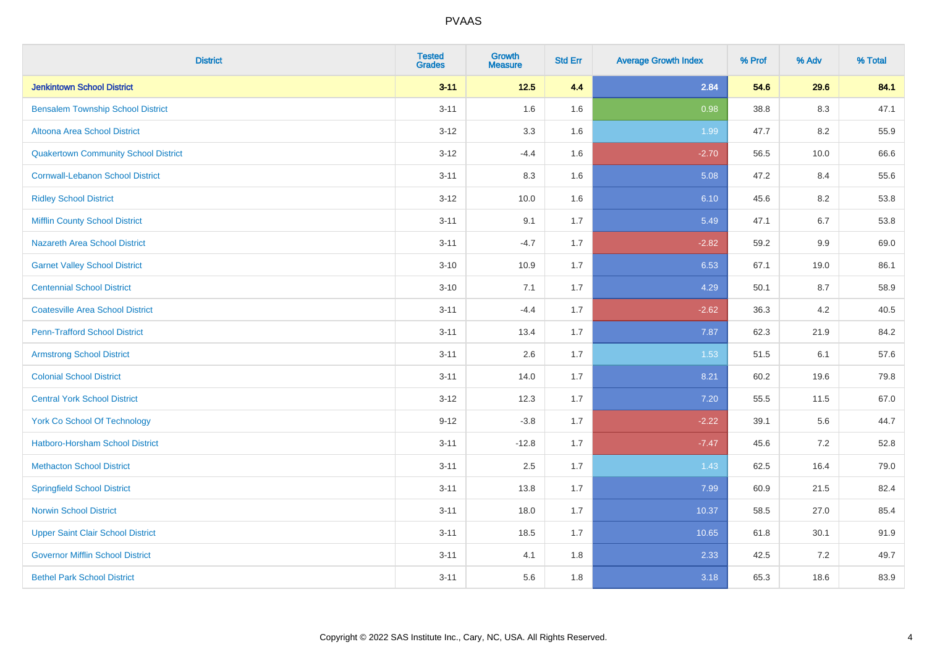| <b>District</b>                             | <b>Tested</b><br><b>Grades</b> | <b>Growth</b><br><b>Measure</b> | <b>Std Err</b> | <b>Average Growth Index</b> | % Prof | % Adv   | % Total |
|---------------------------------------------|--------------------------------|---------------------------------|----------------|-----------------------------|--------|---------|---------|
| <b>Jenkintown School District</b>           | $3 - 11$                       | $12.5$                          | 4.4            | 2.84                        | 54.6   | 29.6    | 84.1    |
| <b>Bensalem Township School District</b>    | $3 - 11$                       | 1.6                             | 1.6            | 0.98                        | 38.8   | 8.3     | 47.1    |
| Altoona Area School District                | $3 - 12$                       | 3.3                             | 1.6            | 1.99                        | 47.7   | 8.2     | 55.9    |
| <b>Quakertown Community School District</b> | $3 - 12$                       | $-4.4$                          | 1.6            | $-2.70$                     | 56.5   | 10.0    | 66.6    |
| <b>Cornwall-Lebanon School District</b>     | $3 - 11$                       | 8.3                             | 1.6            | 5.08                        | 47.2   | 8.4     | 55.6    |
| <b>Ridley School District</b>               | $3 - 12$                       | 10.0                            | 1.6            | 6.10                        | 45.6   | 8.2     | 53.8    |
| <b>Mifflin County School District</b>       | $3 - 11$                       | 9.1                             | 1.7            | 5.49                        | 47.1   | $6.7\,$ | 53.8    |
| <b>Nazareth Area School District</b>        | $3 - 11$                       | $-4.7$                          | 1.7            | $-2.82$                     | 59.2   | 9.9     | 69.0    |
| <b>Garnet Valley School District</b>        | $3 - 10$                       | 10.9                            | 1.7            | 6.53                        | 67.1   | 19.0    | 86.1    |
| <b>Centennial School District</b>           | $3 - 10$                       | 7.1                             | 1.7            | 4.29                        | 50.1   | 8.7     | 58.9    |
| <b>Coatesville Area School District</b>     | $3 - 11$                       | $-4.4$                          | 1.7            | $-2.62$                     | 36.3   | 4.2     | 40.5    |
| <b>Penn-Trafford School District</b>        | $3 - 11$                       | 13.4                            | 1.7            | 7.87                        | 62.3   | 21.9    | 84.2    |
| <b>Armstrong School District</b>            | $3 - 11$                       | 2.6                             | 1.7            | 1.53                        | 51.5   | 6.1     | 57.6    |
| <b>Colonial School District</b>             | $3 - 11$                       | 14.0                            | 1.7            | 8.21                        | 60.2   | 19.6    | 79.8    |
| <b>Central York School District</b>         | $3 - 12$                       | 12.3                            | 1.7            | 7.20                        | 55.5   | 11.5    | 67.0    |
| <b>York Co School Of Technology</b>         | $9 - 12$                       | $-3.8$                          | 1.7            | $-2.22$                     | 39.1   | 5.6     | 44.7    |
| Hatboro-Horsham School District             | $3 - 11$                       | $-12.8$                         | 1.7            | $-7.47$                     | 45.6   | 7.2     | 52.8    |
| <b>Methacton School District</b>            | $3 - 11$                       | 2.5                             | 1.7            | 1.43                        | 62.5   | 16.4    | 79.0    |
| <b>Springfield School District</b>          | $3 - 11$                       | 13.8                            | 1.7            | 7.99                        | 60.9   | 21.5    | 82.4    |
| <b>Norwin School District</b>               | $3 - 11$                       | 18.0                            | 1.7            | 10.37                       | 58.5   | 27.0    | 85.4    |
| <b>Upper Saint Clair School District</b>    | $3 - 11$                       | 18.5                            | 1.7            | 10.65                       | 61.8   | 30.1    | 91.9    |
| <b>Governor Mifflin School District</b>     | $3 - 11$                       | 4.1                             | 1.8            | 2.33                        | 42.5   | $7.2\,$ | 49.7    |
| <b>Bethel Park School District</b>          | $3 - 11$                       | 5.6                             | 1.8            | 3.18                        | 65.3   | 18.6    | 83.9    |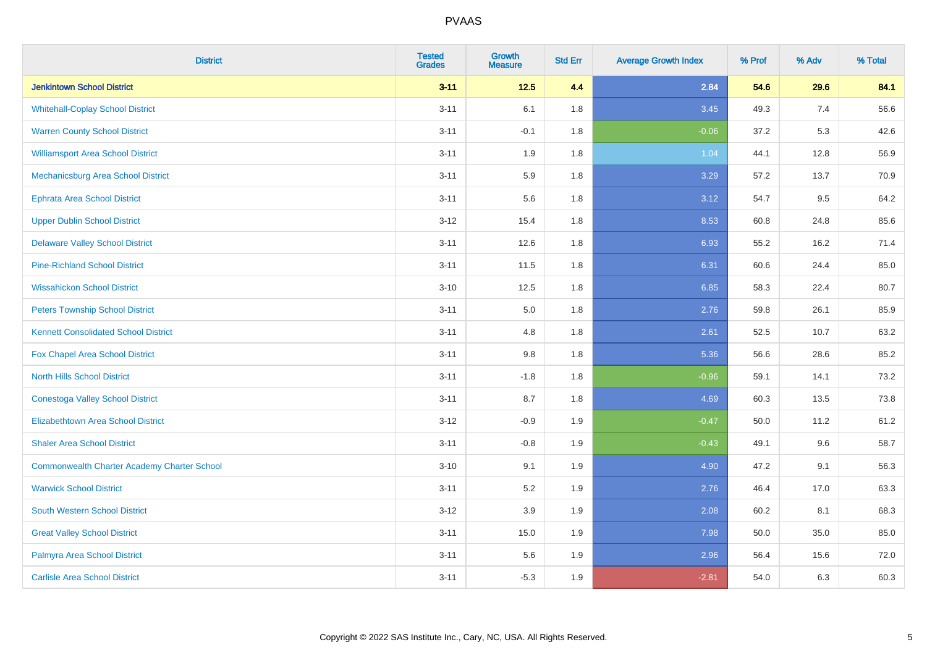| <b>District</b>                                    | <b>Tested</b><br><b>Grades</b> | Growth<br><b>Measure</b> | <b>Std Err</b> | <b>Average Growth Index</b> | % Prof | % Adv | % Total |
|----------------------------------------------------|--------------------------------|--------------------------|----------------|-----------------------------|--------|-------|---------|
| <b>Jenkintown School District</b>                  | $3 - 11$                       | $12.5$                   | 4.4            | 2.84                        | 54.6   | 29.6  | 84.1    |
| <b>Whitehall-Coplay School District</b>            | $3 - 11$                       | 6.1                      | 1.8            | 3.45                        | 49.3   | 7.4   | 56.6    |
| <b>Warren County School District</b>               | $3 - 11$                       | $-0.1$                   | 1.8            | $-0.06$                     | 37.2   | 5.3   | 42.6    |
| <b>Williamsport Area School District</b>           | $3 - 11$                       | 1.9                      | 1.8            | 1.04                        | 44.1   | 12.8  | 56.9    |
| Mechanicsburg Area School District                 | $3 - 11$                       | 5.9                      | 1.8            | 3.29                        | 57.2   | 13.7  | 70.9    |
| <b>Ephrata Area School District</b>                | $3 - 11$                       | 5.6                      | 1.8            | 3.12                        | 54.7   | 9.5   | 64.2    |
| <b>Upper Dublin School District</b>                | $3 - 12$                       | 15.4                     | 1.8            | 8.53                        | 60.8   | 24.8  | 85.6    |
| <b>Delaware Valley School District</b>             | $3 - 11$                       | 12.6                     | 1.8            | 6.93                        | 55.2   | 16.2  | 71.4    |
| <b>Pine-Richland School District</b>               | $3 - 11$                       | 11.5                     | 1.8            | 6.31                        | 60.6   | 24.4  | 85.0    |
| <b>Wissahickon School District</b>                 | $3 - 10$                       | 12.5                     | 1.8            | 6.85                        | 58.3   | 22.4  | 80.7    |
| <b>Peters Township School District</b>             | $3 - 11$                       | 5.0                      | 1.8            | 2.76                        | 59.8   | 26.1  | 85.9    |
| <b>Kennett Consolidated School District</b>        | $3 - 11$                       | 4.8                      | 1.8            | 2.61                        | 52.5   | 10.7  | 63.2    |
| Fox Chapel Area School District                    | $3 - 11$                       | 9.8                      | 1.8            | 5.36                        | 56.6   | 28.6  | 85.2    |
| <b>North Hills School District</b>                 | $3 - 11$                       | $-1.8$                   | 1.8            | $-0.96$                     | 59.1   | 14.1  | 73.2    |
| <b>Conestoga Valley School District</b>            | $3 - 11$                       | 8.7                      | 1.8            | 4.69                        | 60.3   | 13.5  | 73.8    |
| <b>Elizabethtown Area School District</b>          | $3 - 12$                       | $-0.9$                   | 1.9            | $-0.47$                     | 50.0   | 11.2  | 61.2    |
| <b>Shaler Area School District</b>                 | $3 - 11$                       | $-0.8$                   | 1.9            | $-0.43$                     | 49.1   | 9.6   | 58.7    |
| <b>Commonwealth Charter Academy Charter School</b> | $3 - 10$                       | 9.1                      | 1.9            | 4.90                        | 47.2   | 9.1   | 56.3    |
| <b>Warwick School District</b>                     | $3 - 11$                       | 5.2                      | 1.9            | 2.76                        | 46.4   | 17.0  | 63.3    |
| <b>South Western School District</b>               | $3-12$                         | 3.9                      | 1.9            | 2.08                        | 60.2   | 8.1   | 68.3    |
| <b>Great Valley School District</b>                | $3 - 11$                       | 15.0                     | 1.9            | 7.98                        | 50.0   | 35.0  | 85.0    |
| Palmyra Area School District                       | $3 - 11$                       | 5.6                      | 1.9            | 2.96                        | 56.4   | 15.6  | 72.0    |
| <b>Carlisle Area School District</b>               | $3 - 11$                       | $-5.3$                   | 1.9            | $-2.81$                     | 54.0   | 6.3   | 60.3    |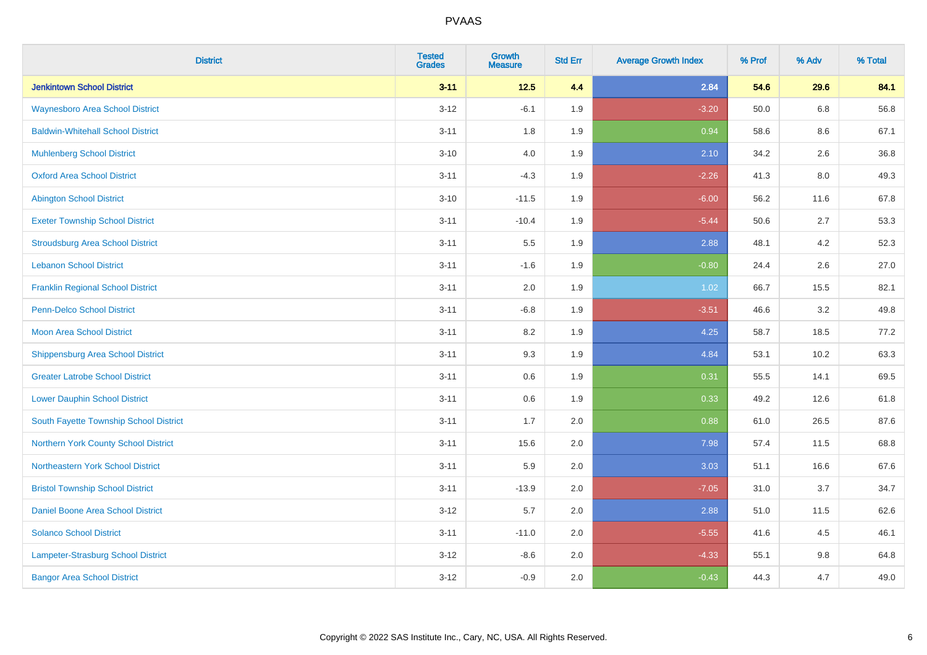| <b>District</b>                          | <b>Tested</b><br><b>Grades</b> | <b>Growth</b><br><b>Measure</b> | <b>Std Err</b> | <b>Average Growth Index</b> | % Prof | % Adv | % Total |
|------------------------------------------|--------------------------------|---------------------------------|----------------|-----------------------------|--------|-------|---------|
| <b>Jenkintown School District</b>        | $3 - 11$                       | $12.5$                          | 4.4            | 2.84                        | 54.6   | 29.6  | 84.1    |
| <b>Waynesboro Area School District</b>   | $3 - 12$                       | $-6.1$                          | 1.9            | $-3.20$                     | 50.0   | 6.8   | 56.8    |
| <b>Baldwin-Whitehall School District</b> | $3 - 11$                       | 1.8                             | 1.9            | 0.94                        | 58.6   | 8.6   | 67.1    |
| <b>Muhlenberg School District</b>        | $3 - 10$                       | 4.0                             | 1.9            | 2.10                        | 34.2   | 2.6   | 36.8    |
| <b>Oxford Area School District</b>       | $3 - 11$                       | $-4.3$                          | 1.9            | $-2.26$                     | 41.3   | 8.0   | 49.3    |
| <b>Abington School District</b>          | $3 - 10$                       | $-11.5$                         | 1.9            | $-6.00$                     | 56.2   | 11.6  | 67.8    |
| <b>Exeter Township School District</b>   | $3 - 11$                       | $-10.4$                         | 1.9            | $-5.44$                     | 50.6   | 2.7   | 53.3    |
| <b>Stroudsburg Area School District</b>  | $3 - 11$                       | 5.5                             | 1.9            | 2.88                        | 48.1   | 4.2   | 52.3    |
| <b>Lebanon School District</b>           | $3 - 11$                       | $-1.6$                          | 1.9            | $-0.80$                     | 24.4   | 2.6   | 27.0    |
| <b>Franklin Regional School District</b> | $3 - 11$                       | 2.0                             | 1.9            | 1.02                        | 66.7   | 15.5  | 82.1    |
| Penn-Delco School District               | $3 - 11$                       | $-6.8$                          | 1.9            | $-3.51$                     | 46.6   | 3.2   | 49.8    |
| <b>Moon Area School District</b>         | $3 - 11$                       | 8.2                             | 1.9            | 4.25                        | 58.7   | 18.5  | 77.2    |
| <b>Shippensburg Area School District</b> | $3 - 11$                       | 9.3                             | 1.9            | 4.84                        | 53.1   | 10.2  | 63.3    |
| <b>Greater Latrobe School District</b>   | $3 - 11$                       | $0.6\,$                         | 1.9            | 0.31                        | 55.5   | 14.1  | 69.5    |
| <b>Lower Dauphin School District</b>     | $3 - 11$                       | 0.6                             | 1.9            | 0.33                        | 49.2   | 12.6  | 61.8    |
| South Fayette Township School District   | $3 - 11$                       | 1.7                             | 2.0            | 0.88                        | 61.0   | 26.5  | 87.6    |
| Northern York County School District     | $3 - 11$                       | 15.6                            | 2.0            | 7.98                        | 57.4   | 11.5  | 68.8    |
| Northeastern York School District        | $3 - 11$                       | 5.9                             | 2.0            | 3.03                        | 51.1   | 16.6  | 67.6    |
| <b>Bristol Township School District</b>  | $3 - 11$                       | $-13.9$                         | 2.0            | $-7.05$                     | 31.0   | 3.7   | 34.7    |
| Daniel Boone Area School District        | $3 - 12$                       | 5.7                             | 2.0            | 2.88                        | 51.0   | 11.5  | 62.6    |
| <b>Solanco School District</b>           | $3 - 11$                       | $-11.0$                         | 2.0            | $-5.55$                     | 41.6   | 4.5   | 46.1    |
| Lampeter-Strasburg School District       | $3 - 12$                       | $-8.6$                          | 2.0            | $-4.33$                     | 55.1   | 9.8   | 64.8    |
| <b>Bangor Area School District</b>       | $3 - 12$                       | $-0.9$                          | 2.0            | $-0.43$                     | 44.3   | 4.7   | 49.0    |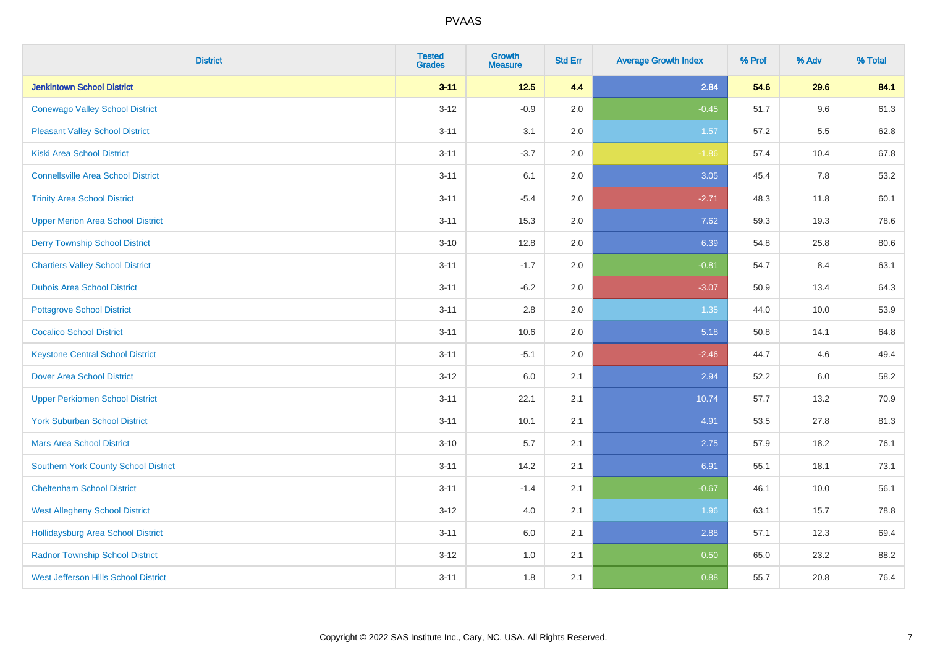| <b>District</b>                             | <b>Tested</b><br><b>Grades</b> | <b>Growth</b><br><b>Measure</b> | <b>Std Err</b> | <b>Average Growth Index</b> | % Prof | % Adv   | % Total |
|---------------------------------------------|--------------------------------|---------------------------------|----------------|-----------------------------|--------|---------|---------|
| <b>Jenkintown School District</b>           | $3 - 11$                       | $12.5$                          | 4.4            | 2.84                        | 54.6   | 29.6    | 84.1    |
| <b>Conewago Valley School District</b>      | $3 - 12$                       | $-0.9$                          | 2.0            | $-0.45$                     | 51.7   | 9.6     | 61.3    |
| <b>Pleasant Valley School District</b>      | $3 - 11$                       | 3.1                             | 2.0            | 1.57                        | 57.2   | $5.5\,$ | 62.8    |
| Kiski Area School District                  | $3 - 11$                       | $-3.7$                          | 2.0            | $-1.86$                     | 57.4   | 10.4    | 67.8    |
| <b>Connellsville Area School District</b>   | $3 - 11$                       | 6.1                             | 2.0            | 3.05                        | 45.4   | 7.8     | 53.2    |
| <b>Trinity Area School District</b>         | $3 - 11$                       | $-5.4$                          | 2.0            | $-2.71$                     | 48.3   | 11.8    | 60.1    |
| <b>Upper Merion Area School District</b>    | $3 - 11$                       | 15.3                            | 2.0            | 7.62                        | 59.3   | 19.3    | 78.6    |
| <b>Derry Township School District</b>       | $3 - 10$                       | 12.8                            | 2.0            | 6.39                        | 54.8   | 25.8    | 80.6    |
| <b>Chartiers Valley School District</b>     | $3 - 11$                       | $-1.7$                          | 2.0            | $-0.81$                     | 54.7   | 8.4     | 63.1    |
| <b>Dubois Area School District</b>          | $3 - 11$                       | $-6.2$                          | 2.0            | $-3.07$                     | 50.9   | 13.4    | 64.3    |
| <b>Pottsgrove School District</b>           | $3 - 11$                       | 2.8                             | 2.0            | 1.35                        | 44.0   | 10.0    | 53.9    |
| <b>Cocalico School District</b>             | $3 - 11$                       | 10.6                            | 2.0            | 5.18                        | 50.8   | 14.1    | 64.8    |
| <b>Keystone Central School District</b>     | $3 - 11$                       | $-5.1$                          | 2.0            | $-2.46$                     | 44.7   | 4.6     | 49.4    |
| <b>Dover Area School District</b>           | $3-12$                         | 6.0                             | 2.1            | 2.94                        | 52.2   | 6.0     | 58.2    |
| <b>Upper Perkiomen School District</b>      | $3 - 11$                       | 22.1                            | 2.1            | 10.74                       | 57.7   | 13.2    | 70.9    |
| <b>York Suburban School District</b>        | $3 - 11$                       | 10.1                            | 2.1            | 4.91                        | 53.5   | 27.8    | 81.3    |
| <b>Mars Area School District</b>            | $3 - 10$                       | 5.7                             | 2.1            | 2.75                        | 57.9   | 18.2    | 76.1    |
| Southern York County School District        | $3 - 11$                       | 14.2                            | 2.1            | 6.91                        | 55.1   | 18.1    | 73.1    |
| <b>Cheltenham School District</b>           | $3 - 11$                       | $-1.4$                          | 2.1            | $-0.67$                     | 46.1   | 10.0    | 56.1    |
| <b>West Allegheny School District</b>       | $3-12$                         | 4.0                             | 2.1            | 1.96                        | 63.1   | 15.7    | 78.8    |
| <b>Hollidaysburg Area School District</b>   | $3 - 11$                       | 6.0                             | 2.1            | 2.88                        | 57.1   | 12.3    | 69.4    |
| <b>Radnor Township School District</b>      | $3 - 12$                       | 1.0                             | 2.1            | 0.50                        | 65.0   | 23.2    | 88.2    |
| <b>West Jefferson Hills School District</b> | $3 - 11$                       | 1.8                             | 2.1            | 0.88                        | 55.7   | 20.8    | 76.4    |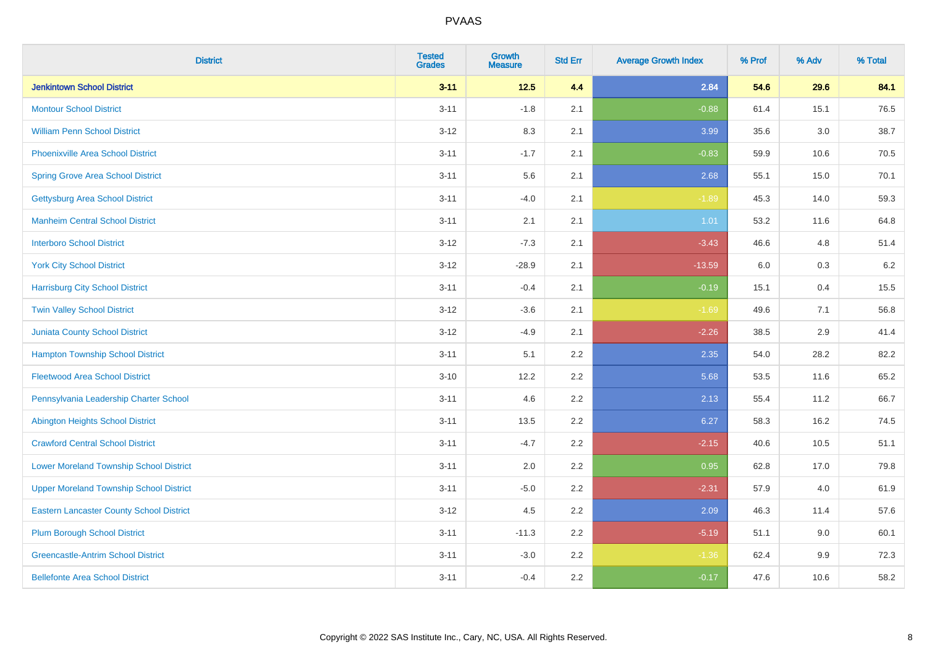| <b>District</b>                                 | <b>Tested</b><br><b>Grades</b> | <b>Growth</b><br><b>Measure</b> | <b>Std Err</b> | <b>Average Growth Index</b> | % Prof | % Adv | % Total |
|-------------------------------------------------|--------------------------------|---------------------------------|----------------|-----------------------------|--------|-------|---------|
| <b>Jenkintown School District</b>               | $3 - 11$                       | $12.5$                          | 4.4            | 2.84                        | 54.6   | 29.6  | 84.1    |
| <b>Montour School District</b>                  | $3 - 11$                       | $-1.8$                          | 2.1            | $-0.88$                     | 61.4   | 15.1  | 76.5    |
| <b>William Penn School District</b>             | $3-12$                         | 8.3                             | 2.1            | 3.99                        | 35.6   | 3.0   | 38.7    |
| Phoenixville Area School District               | $3 - 11$                       | $-1.7$                          | 2.1            | $-0.83$                     | 59.9   | 10.6  | 70.5    |
| <b>Spring Grove Area School District</b>        | $3 - 11$                       | 5.6                             | 2.1            | 2.68                        | 55.1   | 15.0  | 70.1    |
| <b>Gettysburg Area School District</b>          | $3 - 11$                       | $-4.0$                          | 2.1            | $-1.89$                     | 45.3   | 14.0  | 59.3    |
| <b>Manheim Central School District</b>          | $3 - 11$                       | 2.1                             | 2.1            | 1.01                        | 53.2   | 11.6  | 64.8    |
| <b>Interboro School District</b>                | $3 - 12$                       | $-7.3$                          | 2.1            | $-3.43$                     | 46.6   | 4.8   | 51.4    |
| <b>York City School District</b>                | $3 - 12$                       | $-28.9$                         | 2.1            | $-13.59$                    | 6.0    | 0.3   | 6.2     |
| <b>Harrisburg City School District</b>          | $3 - 11$                       | $-0.4$                          | 2.1            | $-0.19$                     | 15.1   | 0.4   | 15.5    |
| <b>Twin Valley School District</b>              | $3 - 12$                       | $-3.6$                          | 2.1            | $-1.69$                     | 49.6   | 7.1   | 56.8    |
| Juniata County School District                  | $3 - 12$                       | $-4.9$                          | 2.1            | $-2.26$                     | 38.5   | 2.9   | 41.4    |
| <b>Hampton Township School District</b>         | $3 - 11$                       | 5.1                             | 2.2            | 2.35                        | 54.0   | 28.2  | 82.2    |
| <b>Fleetwood Area School District</b>           | $3 - 10$                       | 12.2                            | 2.2            | 5.68                        | 53.5   | 11.6  | 65.2    |
| Pennsylvania Leadership Charter School          | $3 - 11$                       | 4.6                             | 2.2            | 2.13                        | 55.4   | 11.2  | 66.7    |
| <b>Abington Heights School District</b>         | $3 - 11$                       | 13.5                            | 2.2            | 6.27                        | 58.3   | 16.2  | 74.5    |
| <b>Crawford Central School District</b>         | $3 - 11$                       | $-4.7$                          | 2.2            | $-2.15$                     | 40.6   | 10.5  | 51.1    |
| <b>Lower Moreland Township School District</b>  | $3 - 11$                       | 2.0                             | 2.2            | 0.95                        | 62.8   | 17.0  | 79.8    |
| <b>Upper Moreland Township School District</b>  | $3 - 11$                       | $-5.0$                          | 2.2            | $-2.31$                     | 57.9   | 4.0   | 61.9    |
| <b>Eastern Lancaster County School District</b> | $3-12$                         | 4.5                             | 2.2            | 2.09                        | 46.3   | 11.4  | 57.6    |
| <b>Plum Borough School District</b>             | $3 - 11$                       | $-11.3$                         | 2.2            | $-5.19$                     | 51.1   | 9.0   | 60.1    |
| <b>Greencastle-Antrim School District</b>       | $3 - 11$                       | $-3.0$                          | 2.2            | $-1.36$                     | 62.4   | 9.9   | 72.3    |
| <b>Bellefonte Area School District</b>          | $3 - 11$                       | $-0.4$                          | 2.2            | $-0.17$                     | 47.6   | 10.6  | 58.2    |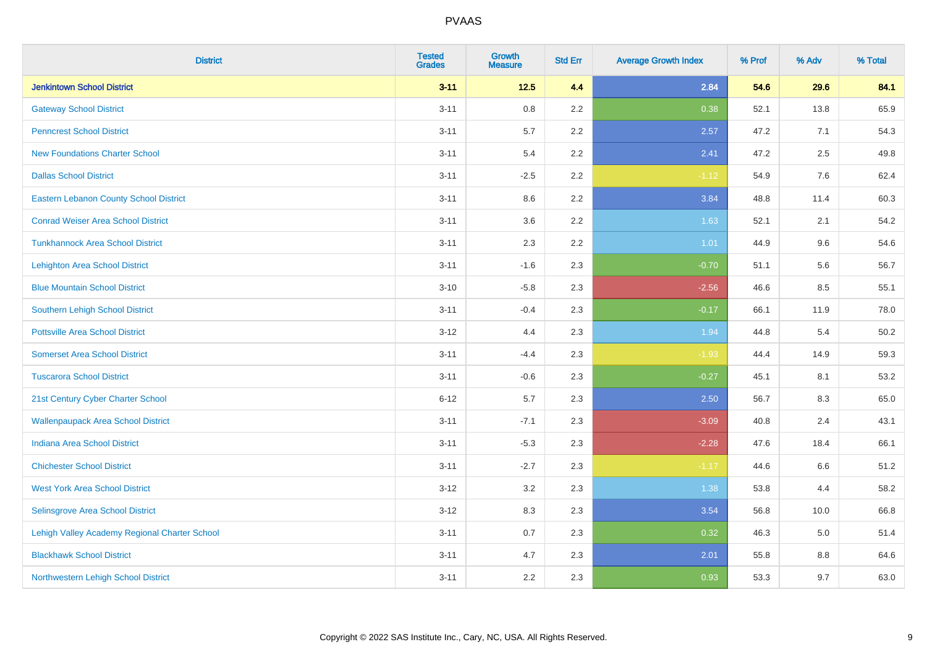| <b>District</b>                               | <b>Tested</b><br><b>Grades</b> | Growth<br><b>Measure</b> | <b>Std Err</b> | <b>Average Growth Index</b> | % Prof | % Adv | % Total |
|-----------------------------------------------|--------------------------------|--------------------------|----------------|-----------------------------|--------|-------|---------|
| <b>Jenkintown School District</b>             | $3 - 11$                       | $12.5$                   | 4.4            | 2.84                        | 54.6   | 29.6  | 84.1    |
| <b>Gateway School District</b>                | $3 - 11$                       | 0.8                      | 2.2            | 0.38                        | 52.1   | 13.8  | 65.9    |
| <b>Penncrest School District</b>              | $3 - 11$                       | 5.7                      | 2.2            | 2.57                        | 47.2   | 7.1   | 54.3    |
| <b>New Foundations Charter School</b>         | $3 - 11$                       | 5.4                      | 2.2            | 2.41                        | 47.2   | 2.5   | 49.8    |
| <b>Dallas School District</b>                 | $3 - 11$                       | $-2.5$                   | 2.2            | $-1.12$                     | 54.9   | 7.6   | 62.4    |
| <b>Eastern Lebanon County School District</b> | $3 - 11$                       | 8.6                      | 2.2            | 3.84                        | 48.8   | 11.4  | 60.3    |
| <b>Conrad Weiser Area School District</b>     | $3 - 11$                       | 3.6                      | 2.2            | 1.63                        | 52.1   | 2.1   | 54.2    |
| <b>Tunkhannock Area School District</b>       | $3 - 11$                       | 2.3                      | 2.2            | 1.01                        | 44.9   | 9.6   | 54.6    |
| <b>Lehighton Area School District</b>         | $3 - 11$                       | $-1.6$                   | 2.3            | $-0.70$                     | 51.1   | 5.6   | 56.7    |
| <b>Blue Mountain School District</b>          | $3 - 10$                       | $-5.8$                   | 2.3            | $-2.56$                     | 46.6   | 8.5   | 55.1    |
| Southern Lehigh School District               | $3 - 11$                       | $-0.4$                   | 2.3            | $-0.17$                     | 66.1   | 11.9  | 78.0    |
| <b>Pottsville Area School District</b>        | $3 - 12$                       | 4.4                      | 2.3            | 1.94                        | 44.8   | 5.4   | 50.2    |
| <b>Somerset Area School District</b>          | $3 - 11$                       | $-4.4$                   | 2.3            | $-1.93$                     | 44.4   | 14.9  | 59.3    |
| <b>Tuscarora School District</b>              | $3 - 11$                       | $-0.6$                   | 2.3            | $-0.27$                     | 45.1   | 8.1   | 53.2    |
| 21st Century Cyber Charter School             | $6 - 12$                       | 5.7                      | 2.3            | 2.50                        | 56.7   | 8.3   | 65.0    |
| <b>Wallenpaupack Area School District</b>     | $3 - 11$                       | $-7.1$                   | 2.3            | $-3.09$                     | 40.8   | 2.4   | 43.1    |
| <b>Indiana Area School District</b>           | $3 - 11$                       | $-5.3$                   | 2.3            | $-2.28$                     | 47.6   | 18.4  | 66.1    |
| <b>Chichester School District</b>             | $3 - 11$                       | $-2.7$                   | 2.3            | $-1.17$                     | 44.6   | 6.6   | 51.2    |
| <b>West York Area School District</b>         | $3 - 12$                       | 3.2                      | 2.3            | 1.38                        | 53.8   | 4.4   | 58.2    |
| Selinsgrove Area School District              | $3 - 12$                       | 8.3                      | 2.3            | 3.54                        | 56.8   | 10.0  | 66.8    |
| Lehigh Valley Academy Regional Charter School | $3 - 11$                       | 0.7                      | 2.3            | 0.32                        | 46.3   | 5.0   | 51.4    |
| <b>Blackhawk School District</b>              | $3 - 11$                       | 4.7                      | 2.3            | 2.01                        | 55.8   | 8.8   | 64.6    |
| Northwestern Lehigh School District           | $3 - 11$                       | 2.2                      | 2.3            | 0.93                        | 53.3   | 9.7   | 63.0    |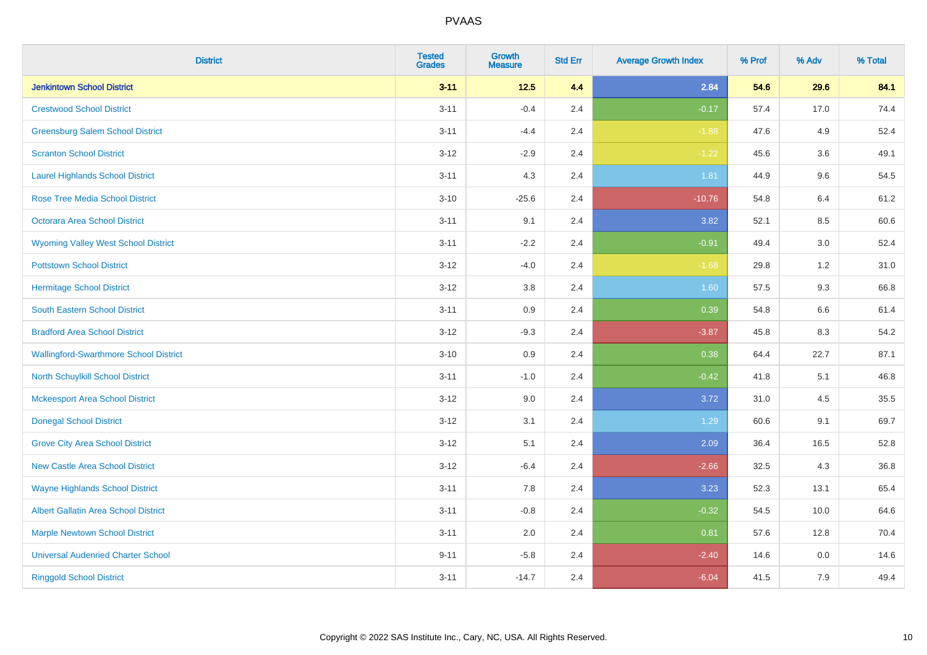| <b>District</b>                               | <b>Tested</b><br><b>Grades</b> | Growth<br><b>Measure</b> | <b>Std Err</b> | <b>Average Growth Index</b> | % Prof | % Adv   | % Total |
|-----------------------------------------------|--------------------------------|--------------------------|----------------|-----------------------------|--------|---------|---------|
| <b>Jenkintown School District</b>             | $3 - 11$                       | $12.5$                   | 4.4            | 2.84                        | 54.6   | 29.6    | 84.1    |
| <b>Crestwood School District</b>              | $3 - 11$                       | $-0.4$                   | 2.4            | $-0.17$                     | 57.4   | 17.0    | 74.4    |
| <b>Greensburg Salem School District</b>       | $3 - 11$                       | $-4.4$                   | 2.4            | $-1.88$                     | 47.6   | 4.9     | 52.4    |
| <b>Scranton School District</b>               | $3 - 12$                       | $-2.9$                   | 2.4            | $-1.22$                     | 45.6   | 3.6     | 49.1    |
| <b>Laurel Highlands School District</b>       | $3 - 11$                       | 4.3                      | 2.4            | 1.81                        | 44.9   | 9.6     | 54.5    |
| <b>Rose Tree Media School District</b>        | $3 - 10$                       | $-25.6$                  | 2.4            | $-10.76$                    | 54.8   | 6.4     | 61.2    |
| Octorara Area School District                 | $3 - 11$                       | 9.1                      | 2.4            | 3.82                        | 52.1   | 8.5     | 60.6    |
| <b>Wyoming Valley West School District</b>    | $3 - 11$                       | $-2.2$                   | 2.4            | $-0.91$                     | 49.4   | 3.0     | 52.4    |
| <b>Pottstown School District</b>              | $3 - 12$                       | $-4.0$                   | 2.4            | $-1.68$                     | 29.8   | 1.2     | 31.0    |
| <b>Hermitage School District</b>              | $3 - 12$                       | 3.8                      | 2.4            | 1.60                        | 57.5   | 9.3     | 66.8    |
| South Eastern School District                 | $3 - 11$                       | 0.9                      | 2.4            | 0.39                        | 54.8   | $6.6\,$ | 61.4    |
| <b>Bradford Area School District</b>          | $3 - 12$                       | $-9.3$                   | 2.4            | $-3.87$                     | 45.8   | 8.3     | 54.2    |
| <b>Wallingford-Swarthmore School District</b> | $3 - 10$                       | 0.9                      | 2.4            | 0.38                        | 64.4   | 22.7    | 87.1    |
| North Schuylkill School District              | $3 - 11$                       | $-1.0$                   | 2.4            | $-0.42$                     | 41.8   | 5.1     | 46.8    |
| <b>Mckeesport Area School District</b>        | $3 - 12$                       | 9.0                      | 2.4            | 3.72                        | 31.0   | 4.5     | 35.5    |
| <b>Donegal School District</b>                | $3-12$                         | 3.1                      | 2.4            | 1.29                        | 60.6   | 9.1     | 69.7    |
| <b>Grove City Area School District</b>        | $3 - 12$                       | 5.1                      | 2.4            | 2.09                        | 36.4   | 16.5    | 52.8    |
| <b>New Castle Area School District</b>        | $3-12$                         | $-6.4$                   | 2.4            | $-2.66$                     | 32.5   | 4.3     | 36.8    |
| <b>Wayne Highlands School District</b>        | $3 - 11$                       | 7.8                      | 2.4            | 3.23                        | 52.3   | 13.1    | 65.4    |
| Albert Gallatin Area School District          | $3 - 11$                       | $-0.8$                   | 2.4            | $-0.32$                     | 54.5   | 10.0    | 64.6    |
| <b>Marple Newtown School District</b>         | $3 - 11$                       | 2.0                      | 2.4            | 0.81                        | 57.6   | 12.8    | 70.4    |
| <b>Universal Audenried Charter School</b>     | $9 - 11$                       | $-5.8$                   | 2.4            | $-2.40$                     | 14.6   | 0.0     | 14.6    |
| <b>Ringgold School District</b>               | $3 - 11$                       | $-14.7$                  | 2.4            | $-6.04$                     | 41.5   | 7.9     | 49.4    |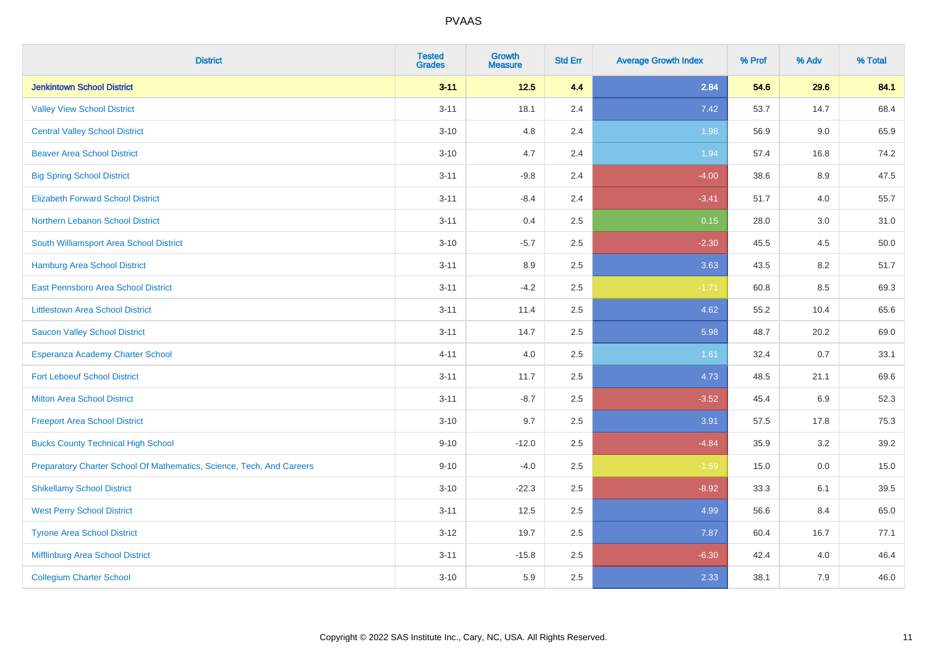| <b>District</b>                                                       | <b>Tested</b><br><b>Grades</b> | <b>Growth</b><br><b>Measure</b> | <b>Std Err</b> | <b>Average Growth Index</b> | % Prof | % Adv   | % Total |
|-----------------------------------------------------------------------|--------------------------------|---------------------------------|----------------|-----------------------------|--------|---------|---------|
| <b>Jenkintown School District</b>                                     | $3 - 11$                       | $12.5$                          | 4.4            | 2.84                        | 54.6   | 29.6    | 84.1    |
| <b>Valley View School District</b>                                    | $3 - 11$                       | 18.1                            | 2.4            | 7.42                        | 53.7   | 14.7    | 68.4    |
| <b>Central Valley School District</b>                                 | $3 - 10$                       | 4.8                             | 2.4            | 1.98                        | 56.9   | 9.0     | 65.9    |
| <b>Beaver Area School District</b>                                    | $3 - 10$                       | 4.7                             | 2.4            | 1.94                        | 57.4   | 16.8    | 74.2    |
| <b>Big Spring School District</b>                                     | $3 - 11$                       | $-9.8$                          | 2.4            | $-4.00$                     | 38.6   | 8.9     | 47.5    |
| <b>Elizabeth Forward School District</b>                              | $3 - 11$                       | $-8.4$                          | 2.4            | $-3.41$                     | 51.7   | 4.0     | 55.7    |
| Northern Lebanon School District                                      | $3 - 11$                       | 0.4                             | 2.5            | 0.15                        | 28.0   | $3.0\,$ | 31.0    |
| South Williamsport Area School District                               | $3 - 10$                       | $-5.7$                          | 2.5            | $-2.30$                     | 45.5   | 4.5     | 50.0    |
| Hamburg Area School District                                          | $3 - 11$                       | 8.9                             | 2.5            | 3.63                        | 43.5   | 8.2     | 51.7    |
| East Pennsboro Area School District                                   | $3 - 11$                       | $-4.2$                          | 2.5            | $-1.71$                     | 60.8   | 8.5     | 69.3    |
| <b>Littlestown Area School District</b>                               | $3 - 11$                       | 11.4                            | 2.5            | 4.62                        | 55.2   | 10.4    | 65.6    |
| <b>Saucon Valley School District</b>                                  | $3 - 11$                       | 14.7                            | 2.5            | 5.98                        | 48.7   | 20.2    | 69.0    |
| Esperanza Academy Charter School                                      | $4 - 11$                       | 4.0                             | 2.5            | 1.61                        | 32.4   | 0.7     | 33.1    |
| <b>Fort Leboeuf School District</b>                                   | $3 - 11$                       | 11.7                            | 2.5            | 4.73                        | 48.5   | 21.1    | 69.6    |
| <b>Milton Area School District</b>                                    | $3 - 11$                       | $-8.7$                          | 2.5            | $-3.52$                     | 45.4   | 6.9     | 52.3    |
| <b>Freeport Area School District</b>                                  | $3 - 10$                       | 9.7                             | 2.5            | 3.91                        | 57.5   | 17.8    | 75.3    |
| <b>Bucks County Technical High School</b>                             | $9 - 10$                       | $-12.0$                         | 2.5            | $-4.84$                     | 35.9   | 3.2     | 39.2    |
| Preparatory Charter School Of Mathematics, Science, Tech, And Careers | $9 - 10$                       | $-4.0$                          | 2.5            | $-1.59$                     | 15.0   | 0.0     | 15.0    |
| <b>Shikellamy School District</b>                                     | $3 - 10$                       | $-22.3$                         | 2.5            | $-8.92$                     | 33.3   | 6.1     | 39.5    |
| <b>West Perry School District</b>                                     | $3 - 11$                       | 12.5                            | 2.5            | 4.99                        | 56.6   | 8.4     | 65.0    |
| <b>Tyrone Area School District</b>                                    | $3 - 12$                       | 19.7                            | 2.5            | 7.87                        | 60.4   | 16.7    | 77.1    |
| Mifflinburg Area School District                                      | $3 - 11$                       | $-15.8$                         | 2.5            | $-6.30$                     | 42.4   | 4.0     | 46.4    |
| <b>Collegium Charter School</b>                                       | $3 - 10$                       | 5.9                             | 2.5            | 2.33                        | 38.1   | 7.9     | 46.0    |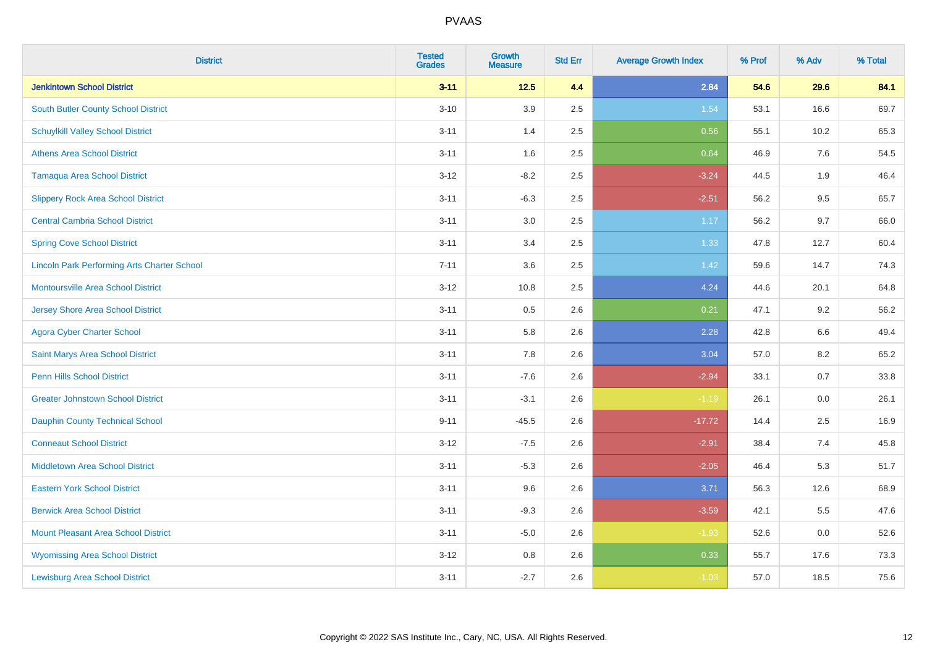| <b>District</b>                                    | <b>Tested</b><br><b>Grades</b> | <b>Growth</b><br><b>Measure</b> | <b>Std Err</b> | <b>Average Growth Index</b> | % Prof | % Adv | % Total |
|----------------------------------------------------|--------------------------------|---------------------------------|----------------|-----------------------------|--------|-------|---------|
| <b>Jenkintown School District</b>                  | $3 - 11$                       | $12.5$                          | 4.4            | 2.84                        | 54.6   | 29.6  | 84.1    |
| South Butler County School District                | $3 - 10$                       | 3.9                             | 2.5            | 1.54                        | 53.1   | 16.6  | 69.7    |
| <b>Schuylkill Valley School District</b>           | $3 - 11$                       | 1.4                             | 2.5            | 0.56                        | 55.1   | 10.2  | 65.3    |
| <b>Athens Area School District</b>                 | $3 - 11$                       | 1.6                             | 2.5            | 0.64                        | 46.9   | 7.6   | 54.5    |
| <b>Tamaqua Area School District</b>                | $3 - 12$                       | $-8.2$                          | 2.5            | $-3.24$                     | 44.5   | 1.9   | 46.4    |
| <b>Slippery Rock Area School District</b>          | $3 - 11$                       | $-6.3$                          | 2.5            | $-2.51$                     | 56.2   | 9.5   | 65.7    |
| <b>Central Cambria School District</b>             | $3 - 11$                       | $3.0\,$                         | 2.5            | 1.17                        | 56.2   | 9.7   | 66.0    |
| <b>Spring Cove School District</b>                 | $3 - 11$                       | 3.4                             | 2.5            | 1.33                        | 47.8   | 12.7  | 60.4    |
| <b>Lincoln Park Performing Arts Charter School</b> | $7 - 11$                       | 3.6                             | 2.5            | 1.42                        | 59.6   | 14.7  | 74.3    |
| <b>Montoursville Area School District</b>          | $3 - 12$                       | 10.8                            | 2.5            | 4.24                        | 44.6   | 20.1  | 64.8    |
| <b>Jersey Shore Area School District</b>           | $3 - 11$                       | 0.5                             | 2.6            | 0.21                        | 47.1   | 9.2   | 56.2    |
| <b>Agora Cyber Charter School</b>                  | $3 - 11$                       | 5.8                             | 2.6            | 2.28                        | 42.8   | 6.6   | 49.4    |
| Saint Marys Area School District                   | $3 - 11$                       | 7.8                             | 2.6            | 3.04                        | 57.0   | 8.2   | 65.2    |
| <b>Penn Hills School District</b>                  | $3 - 11$                       | $-7.6$                          | 2.6            | $-2.94$                     | 33.1   | 0.7   | 33.8    |
| <b>Greater Johnstown School District</b>           | $3 - 11$                       | $-3.1$                          | 2.6            | $-1.19$                     | 26.1   | 0.0   | 26.1    |
| <b>Dauphin County Technical School</b>             | $9 - 11$                       | $-45.5$                         | 2.6            | $-17.72$                    | 14.4   | 2.5   | 16.9    |
| <b>Conneaut School District</b>                    | $3 - 12$                       | $-7.5$                          | 2.6            | $-2.91$                     | 38.4   | 7.4   | 45.8    |
| Middletown Area School District                    | $3 - 11$                       | $-5.3$                          | 2.6            | $-2.05$                     | 46.4   | 5.3   | 51.7    |
| <b>Eastern York School District</b>                | $3 - 11$                       | 9.6                             | 2.6            | 3.71                        | 56.3   | 12.6  | 68.9    |
| <b>Berwick Area School District</b>                | $3 - 11$                       | $-9.3$                          | 2.6            | $-3.59$                     | 42.1   | 5.5   | 47.6    |
| <b>Mount Pleasant Area School District</b>         | $3 - 11$                       | $-5.0$                          | 2.6            | $-1.93$                     | 52.6   | 0.0   | 52.6    |
| <b>Wyomissing Area School District</b>             | $3 - 12$                       | 0.8                             | 2.6            | 0.33                        | 55.7   | 17.6  | 73.3    |
| <b>Lewisburg Area School District</b>              | $3 - 11$                       | $-2.7$                          | 2.6            | $-1.03$                     | 57.0   | 18.5  | 75.6    |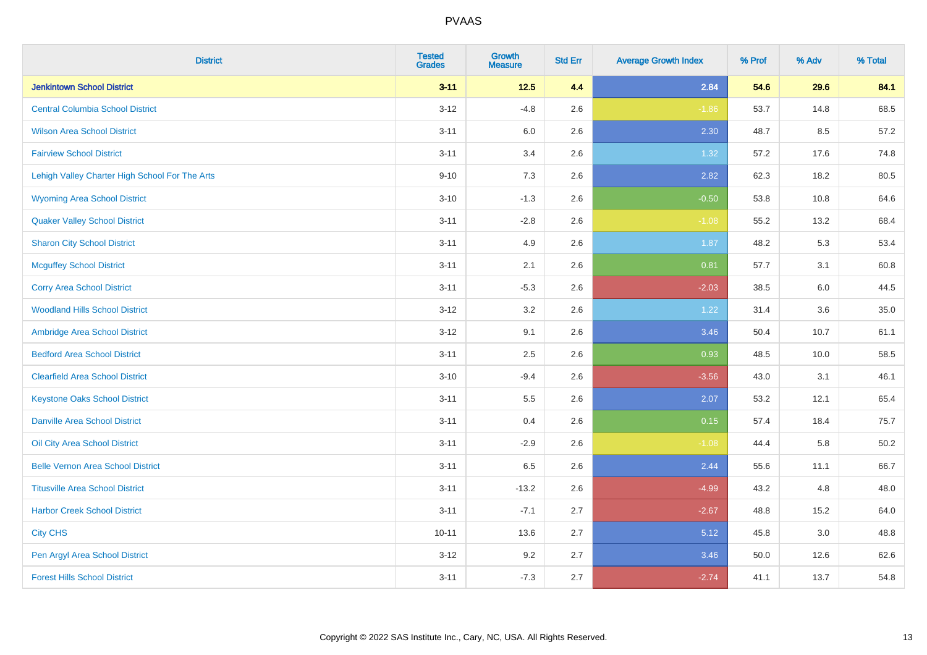| <b>District</b>                                | <b>Tested</b><br><b>Grades</b> | <b>Growth</b><br><b>Measure</b> | <b>Std Err</b> | <b>Average Growth Index</b> | % Prof | % Adv | % Total |
|------------------------------------------------|--------------------------------|---------------------------------|----------------|-----------------------------|--------|-------|---------|
| <b>Jenkintown School District</b>              | $3 - 11$                       | $12.5$                          | 4.4            | 2.84                        | 54.6   | 29.6  | 84.1    |
| <b>Central Columbia School District</b>        | $3 - 12$                       | $-4.8$                          | 2.6            | $-1.86$                     | 53.7   | 14.8  | 68.5    |
| <b>Wilson Area School District</b>             | $3 - 11$                       | 6.0                             | 2.6            | 2.30                        | 48.7   | 8.5   | 57.2    |
| <b>Fairview School District</b>                | $3 - 11$                       | 3.4                             | 2.6            | 1.32                        | 57.2   | 17.6  | 74.8    |
| Lehigh Valley Charter High School For The Arts | $9 - 10$                       | 7.3                             | 2.6            | 2.82                        | 62.3   | 18.2  | 80.5    |
| <b>Wyoming Area School District</b>            | $3 - 10$                       | $-1.3$                          | 2.6            | $-0.50$                     | 53.8   | 10.8  | 64.6    |
| <b>Quaker Valley School District</b>           | $3 - 11$                       | $-2.8$                          | 2.6            | $-1.08$                     | 55.2   | 13.2  | 68.4    |
| <b>Sharon City School District</b>             | $3 - 11$                       | 4.9                             | 2.6            | 1.87                        | 48.2   | 5.3   | 53.4    |
| <b>Mcguffey School District</b>                | $3 - 11$                       | 2.1                             | 2.6            | 0.81                        | 57.7   | 3.1   | 60.8    |
| <b>Corry Area School District</b>              | $3 - 11$                       | $-5.3$                          | 2.6            | $-2.03$                     | 38.5   | 6.0   | 44.5    |
| <b>Woodland Hills School District</b>          | $3 - 12$                       | 3.2                             | 2.6            | 1.22                        | 31.4   | 3.6   | 35.0    |
| Ambridge Area School District                  | $3-12$                         | 9.1                             | 2.6            | 3.46                        | 50.4   | 10.7  | 61.1    |
| <b>Bedford Area School District</b>            | $3 - 11$                       | 2.5                             | 2.6            | 0.93                        | 48.5   | 10.0  | 58.5    |
| <b>Clearfield Area School District</b>         | $3 - 10$                       | $-9.4$                          | 2.6            | $-3.56$                     | 43.0   | 3.1   | 46.1    |
| <b>Keystone Oaks School District</b>           | $3 - 11$                       | 5.5                             | 2.6            | 2.07                        | 53.2   | 12.1  | 65.4    |
| <b>Danville Area School District</b>           | $3 - 11$                       | 0.4                             | 2.6            | 0.15                        | 57.4   | 18.4  | 75.7    |
| Oil City Area School District                  | $3 - 11$                       | $-2.9$                          | 2.6            | $-1.08$                     | 44.4   | 5.8   | 50.2    |
| <b>Belle Vernon Area School District</b>       | $3 - 11$                       | 6.5                             | 2.6            | 2.44                        | 55.6   | 11.1  | 66.7    |
| <b>Titusville Area School District</b>         | $3 - 11$                       | $-13.2$                         | 2.6            | $-4.99$                     | 43.2   | 4.8   | 48.0    |
| <b>Harbor Creek School District</b>            | $3 - 11$                       | $-7.1$                          | 2.7            | $-2.67$                     | 48.8   | 15.2  | 64.0    |
| <b>City CHS</b>                                | $10 - 11$                      | 13.6                            | 2.7            | 5.12                        | 45.8   | 3.0   | 48.8    |
| Pen Argyl Area School District                 | $3 - 12$                       | 9.2                             | 2.7            | 3.46                        | 50.0   | 12.6  | 62.6    |
| <b>Forest Hills School District</b>            | $3 - 11$                       | $-7.3$                          | 2.7            | $-2.74$                     | 41.1   | 13.7  | 54.8    |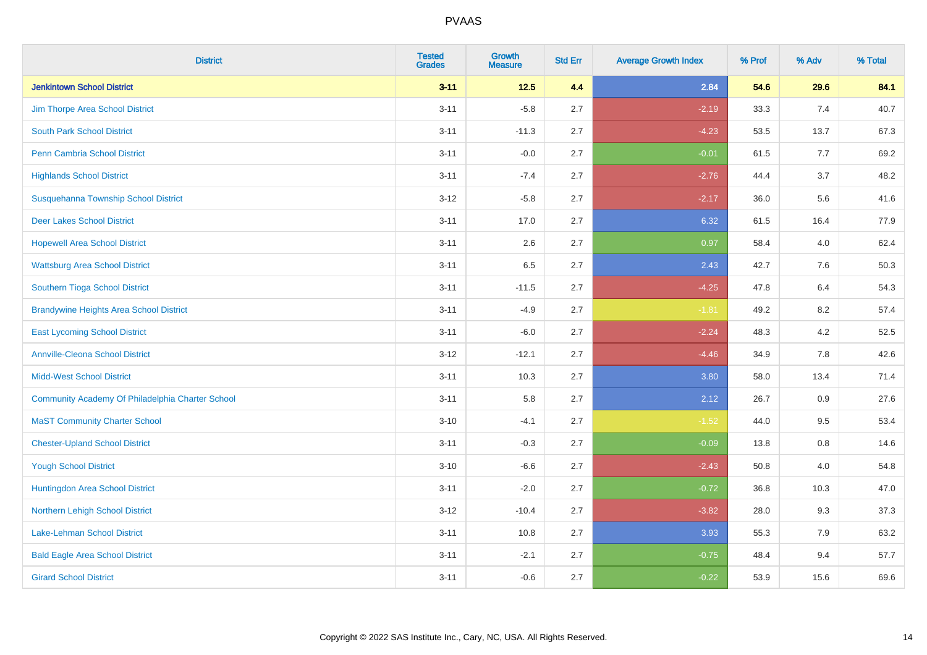| <b>District</b>                                  | <b>Tested</b><br><b>Grades</b> | <b>Growth</b><br><b>Measure</b> | <b>Std Err</b> | <b>Average Growth Index</b> | % Prof | % Adv | % Total |
|--------------------------------------------------|--------------------------------|---------------------------------|----------------|-----------------------------|--------|-------|---------|
| <b>Jenkintown School District</b>                | $3 - 11$                       | $12.5$                          | 4.4            | 2.84                        | 54.6   | 29.6  | 84.1    |
| Jim Thorpe Area School District                  | $3 - 11$                       | $-5.8$                          | 2.7            | $-2.19$                     | 33.3   | 7.4   | 40.7    |
| <b>South Park School District</b>                | $3 - 11$                       | $-11.3$                         | 2.7            | $-4.23$                     | 53.5   | 13.7  | 67.3    |
| Penn Cambria School District                     | $3 - 11$                       | $-0.0$                          | 2.7            | $-0.01$                     | 61.5   | 7.7   | 69.2    |
| <b>Highlands School District</b>                 | $3 - 11$                       | $-7.4$                          | 2.7            | $-2.76$                     | 44.4   | 3.7   | 48.2    |
| Susquehanna Township School District             | $3 - 12$                       | $-5.8$                          | 2.7            | $-2.17$                     | 36.0   | 5.6   | 41.6    |
| <b>Deer Lakes School District</b>                | $3 - 11$                       | 17.0                            | 2.7            | 6.32                        | 61.5   | 16.4  | 77.9    |
| <b>Hopewell Area School District</b>             | $3 - 11$                       | 2.6                             | 2.7            | 0.97                        | 58.4   | 4.0   | 62.4    |
| <b>Wattsburg Area School District</b>            | $3 - 11$                       | 6.5                             | 2.7            | 2.43                        | 42.7   | 7.6   | 50.3    |
| Southern Tioga School District                   | $3 - 11$                       | $-11.5$                         | 2.7            | $-4.25$                     | 47.8   | 6.4   | 54.3    |
| <b>Brandywine Heights Area School District</b>   | $3 - 11$                       | $-4.9$                          | 2.7            | $-1.81$                     | 49.2   | 8.2   | 57.4    |
| <b>East Lycoming School District</b>             | $3 - 11$                       | $-6.0$                          | 2.7            | $-2.24$                     | 48.3   | 4.2   | 52.5    |
| <b>Annville-Cleona School District</b>           | $3 - 12$                       | $-12.1$                         | 2.7            | $-4.46$                     | 34.9   | 7.8   | 42.6    |
| <b>Midd-West School District</b>                 | $3 - 11$                       | 10.3                            | 2.7            | 3.80                        | 58.0   | 13.4  | 71.4    |
| Community Academy Of Philadelphia Charter School | $3 - 11$                       | 5.8                             | 2.7            | 2.12                        | 26.7   | 0.9   | 27.6    |
| <b>MaST Community Charter School</b>             | $3 - 10$                       | $-4.1$                          | 2.7            | $-1.52$                     | 44.0   | 9.5   | 53.4    |
| <b>Chester-Upland School District</b>            | $3 - 11$                       | $-0.3$                          | 2.7            | $-0.09$                     | 13.8   | 0.8   | 14.6    |
| <b>Yough School District</b>                     | $3 - 10$                       | $-6.6$                          | 2.7            | $-2.43$                     | 50.8   | 4.0   | 54.8    |
| Huntingdon Area School District                  | $3 - 11$                       | $-2.0$                          | 2.7            | $-0.72$                     | 36.8   | 10.3  | 47.0    |
| Northern Lehigh School District                  | $3-12$                         | $-10.4$                         | 2.7            | $-3.82$                     | 28.0   | 9.3   | 37.3    |
| <b>Lake-Lehman School District</b>               | $3 - 11$                       | 10.8                            | 2.7            | 3.93                        | 55.3   | 7.9   | 63.2    |
| <b>Bald Eagle Area School District</b>           | $3 - 11$                       | $-2.1$                          | 2.7            | $-0.75$                     | 48.4   | 9.4   | 57.7    |
| <b>Girard School District</b>                    | $3 - 11$                       | $-0.6$                          | 2.7            | $-0.22$                     | 53.9   | 15.6  | 69.6    |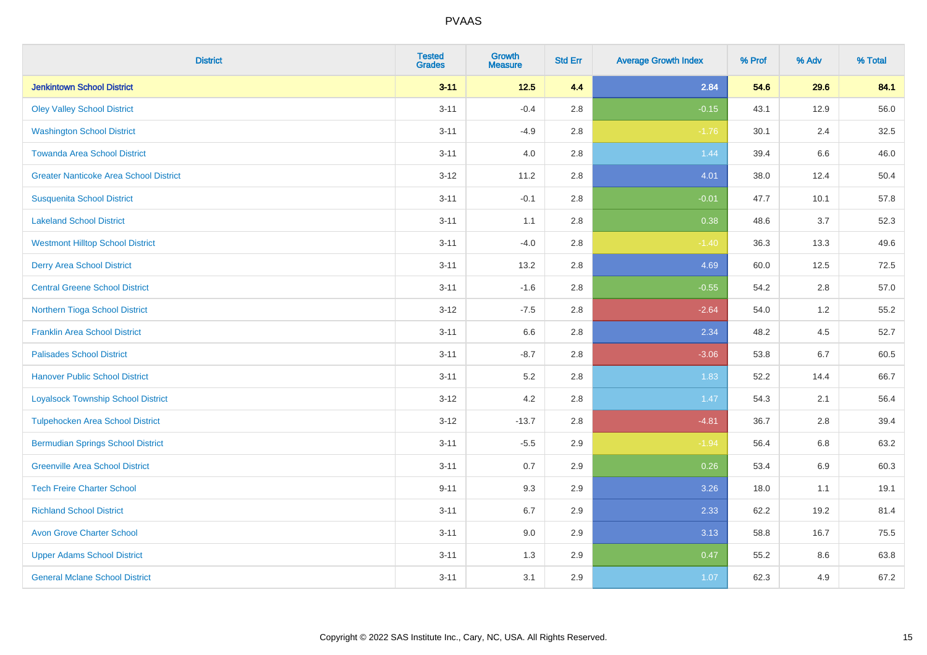| <b>District</b>                               | <b>Tested</b><br><b>Grades</b> | <b>Growth</b><br><b>Measure</b> | <b>Std Err</b> | <b>Average Growth Index</b> | % Prof | % Adv | % Total |
|-----------------------------------------------|--------------------------------|---------------------------------|----------------|-----------------------------|--------|-------|---------|
| <b>Jenkintown School District</b>             | $3 - 11$                       | $12.5$                          | 4.4            | 2.84                        | 54.6   | 29.6  | 84.1    |
| <b>Oley Valley School District</b>            | $3 - 11$                       | $-0.4$                          | 2.8            | $-0.15$                     | 43.1   | 12.9  | 56.0    |
| <b>Washington School District</b>             | $3 - 11$                       | $-4.9$                          | 2.8            | $-1.76$                     | 30.1   | 2.4   | 32.5    |
| <b>Towanda Area School District</b>           | $3 - 11$                       | 4.0                             | 2.8            | 1.44                        | 39.4   | 6.6   | 46.0    |
| <b>Greater Nanticoke Area School District</b> | $3 - 12$                       | 11.2                            | 2.8            | 4.01                        | 38.0   | 12.4  | 50.4    |
| <b>Susquenita School District</b>             | $3 - 11$                       | $-0.1$                          | 2.8            | $-0.01$                     | 47.7   | 10.1  | 57.8    |
| <b>Lakeland School District</b>               | $3 - 11$                       | 1.1                             | 2.8            | 0.38                        | 48.6   | 3.7   | 52.3    |
| <b>Westmont Hilltop School District</b>       | $3 - 11$                       | $-4.0$                          | 2.8            | $-1.40$                     | 36.3   | 13.3  | 49.6    |
| <b>Derry Area School District</b>             | $3 - 11$                       | 13.2                            | 2.8            | 4.69                        | 60.0   | 12.5  | 72.5    |
| <b>Central Greene School District</b>         | $3 - 11$                       | $-1.6$                          | 2.8            | $-0.55$                     | 54.2   | 2.8   | 57.0    |
| Northern Tioga School District                | $3 - 12$                       | $-7.5$                          | 2.8            | $-2.64$                     | 54.0   | 1.2   | 55.2    |
| <b>Franklin Area School District</b>          | $3 - 11$                       | 6.6                             | 2.8            | 2.34                        | 48.2   | 4.5   | 52.7    |
| <b>Palisades School District</b>              | $3 - 11$                       | $-8.7$                          | 2.8            | $-3.06$                     | 53.8   | 6.7   | 60.5    |
| <b>Hanover Public School District</b>         | $3 - 11$                       | $5.2\,$                         | 2.8            | 1.83                        | 52.2   | 14.4  | 66.7    |
| <b>Loyalsock Township School District</b>     | $3-12$                         | 4.2                             | 2.8            | 1.47                        | 54.3   | 2.1   | 56.4    |
| <b>Tulpehocken Area School District</b>       | $3 - 12$                       | $-13.7$                         | 2.8            | $-4.81$                     | 36.7   | 2.8   | 39.4    |
| <b>Bermudian Springs School District</b>      | $3 - 11$                       | $-5.5$                          | 2.9            | $-1.94$                     | 56.4   | 6.8   | 63.2    |
| <b>Greenville Area School District</b>        | $3 - 11$                       | 0.7                             | 2.9            | 0.26                        | 53.4   | 6.9   | 60.3    |
| <b>Tech Freire Charter School</b>             | $9 - 11$                       | 9.3                             | 2.9            | 3.26                        | 18.0   | 1.1   | 19.1    |
| <b>Richland School District</b>               | $3 - 11$                       | 6.7                             | 2.9            | 2.33                        | 62.2   | 19.2  | 81.4    |
| <b>Avon Grove Charter School</b>              | $3 - 11$                       | 9.0                             | 2.9            | 3.13                        | 58.8   | 16.7  | 75.5    |
| <b>Upper Adams School District</b>            | $3 - 11$                       | 1.3                             | 2.9            | 0.47                        | 55.2   | 8.6   | 63.8    |
| <b>General Mclane School District</b>         | $3 - 11$                       | 3.1                             | 2.9            | 1.07                        | 62.3   | 4.9   | 67.2    |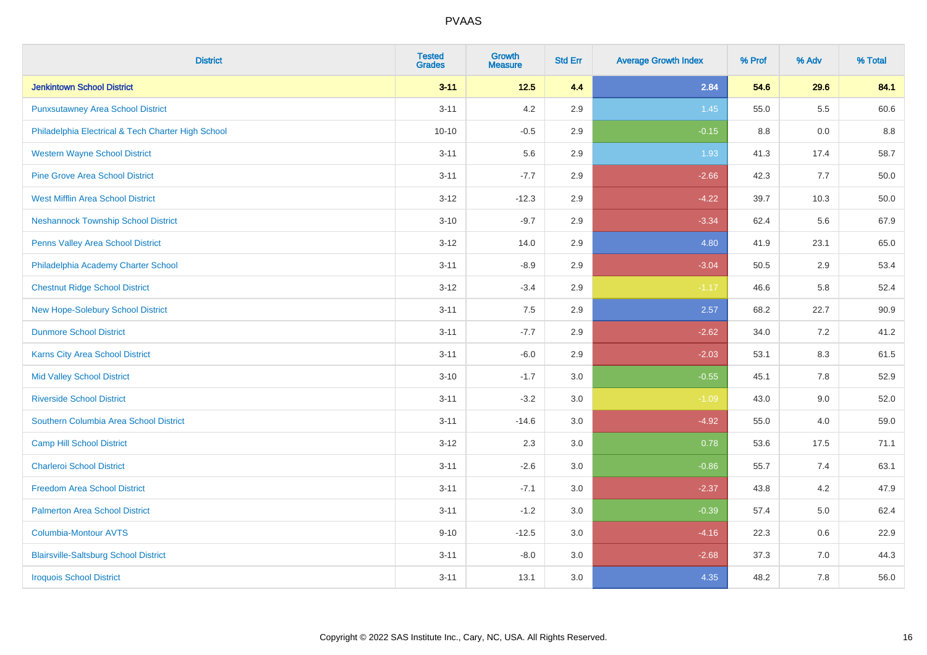| <b>District</b>                                    | <b>Tested</b><br><b>Grades</b> | <b>Growth</b><br><b>Measure</b> | <b>Std Err</b> | <b>Average Growth Index</b> | % Prof | % Adv   | % Total |
|----------------------------------------------------|--------------------------------|---------------------------------|----------------|-----------------------------|--------|---------|---------|
| <b>Jenkintown School District</b>                  | $3 - 11$                       | $12.5$                          | 4.4            | 2.84                        | 54.6   | 29.6    | 84.1    |
| <b>Punxsutawney Area School District</b>           | $3 - 11$                       | 4.2                             | 2.9            | 1.45                        | 55.0   | $5.5\,$ | 60.6    |
| Philadelphia Electrical & Tech Charter High School | $10 - 10$                      | $-0.5$                          | 2.9            | $-0.15$                     | 8.8    | 0.0     | 8.8     |
| <b>Western Wayne School District</b>               | $3 - 11$                       | 5.6                             | 2.9            | 1.93                        | 41.3   | 17.4    | 58.7    |
| <b>Pine Grove Area School District</b>             | $3 - 11$                       | $-7.7$                          | 2.9            | $-2.66$                     | 42.3   | 7.7     | 50.0    |
| <b>West Mifflin Area School District</b>           | $3 - 12$                       | $-12.3$                         | 2.9            | $-4.22$                     | 39.7   | 10.3    | 50.0    |
| <b>Neshannock Township School District</b>         | $3 - 10$                       | $-9.7$                          | 2.9            | $-3.34$                     | 62.4   | 5.6     | 67.9    |
| <b>Penns Valley Area School District</b>           | $3 - 12$                       | 14.0                            | 2.9            | 4.80                        | 41.9   | 23.1    | 65.0    |
| Philadelphia Academy Charter School                | $3 - 11$                       | $-8.9$                          | 2.9            | $-3.04$                     | 50.5   | 2.9     | 53.4    |
| <b>Chestnut Ridge School District</b>              | $3 - 12$                       | $-3.4$                          | 2.9            | $-1.17$                     | 46.6   | 5.8     | 52.4    |
| New Hope-Solebury School District                  | $3 - 11$                       | 7.5                             | 2.9            | 2.57                        | 68.2   | 22.7    | 90.9    |
| <b>Dunmore School District</b>                     | $3 - 11$                       | $-7.7$                          | 2.9            | $-2.62$                     | 34.0   | 7.2     | 41.2    |
| Karns City Area School District                    | $3 - 11$                       | $-6.0$                          | 2.9            | $-2.03$                     | 53.1   | $8.3\,$ | 61.5    |
| <b>Mid Valley School District</b>                  | $3 - 10$                       | $-1.7$                          | 3.0            | $-0.55$                     | 45.1   | $7.8\,$ | 52.9    |
| <b>Riverside School District</b>                   | $3 - 11$                       | $-3.2$                          | 3.0            | $-1.09$                     | 43.0   | 9.0     | 52.0    |
| Southern Columbia Area School District             | $3 - 11$                       | $-14.6$                         | 3.0            | $-4.92$                     | 55.0   | 4.0     | 59.0    |
| <b>Camp Hill School District</b>                   | $3 - 12$                       | 2.3                             | 3.0            | 0.78                        | 53.6   | 17.5    | 71.1    |
| <b>Charleroi School District</b>                   | $3 - 11$                       | $-2.6$                          | 3.0            | $-0.86$                     | 55.7   | 7.4     | 63.1    |
| <b>Freedom Area School District</b>                | $3 - 11$                       | $-7.1$                          | 3.0            | $-2.37$                     | 43.8   | 4.2     | 47.9    |
| <b>Palmerton Area School District</b>              | $3 - 11$                       | $-1.2$                          | 3.0            | $-0.39$                     | 57.4   | 5.0     | 62.4    |
| <b>Columbia-Montour AVTS</b>                       | $9 - 10$                       | $-12.5$                         | 3.0            | $-4.16$                     | 22.3   | 0.6     | 22.9    |
| <b>Blairsville-Saltsburg School District</b>       | $3 - 11$                       | $-8.0$                          | 3.0            | $-2.68$                     | 37.3   | 7.0     | 44.3    |
| <b>Iroquois School District</b>                    | $3 - 11$                       | 13.1                            | 3.0            | 4.35                        | 48.2   | 7.8     | 56.0    |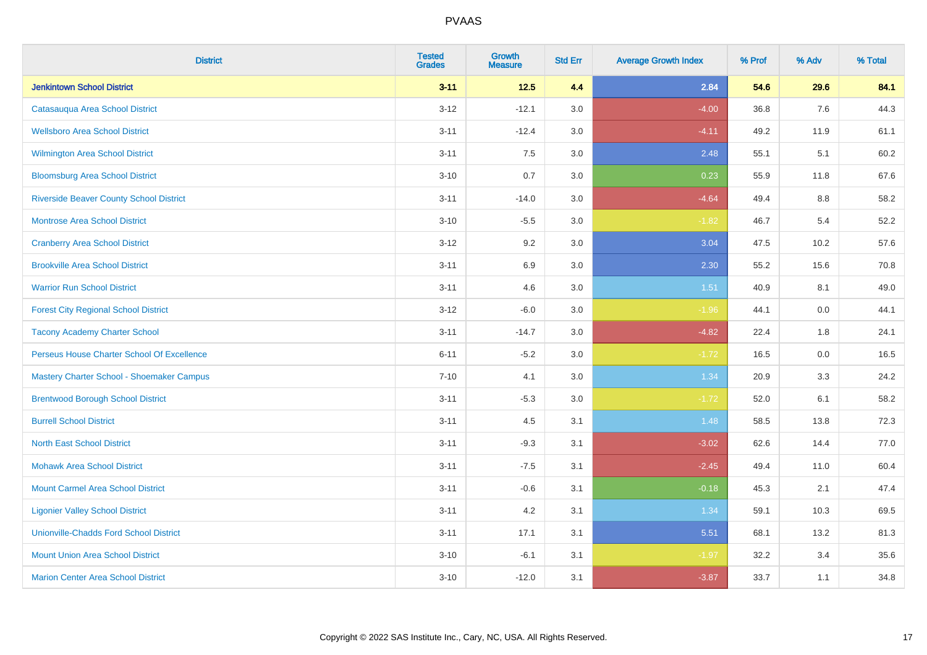| <b>District</b>                                | <b>Tested</b><br><b>Grades</b> | <b>Growth</b><br><b>Measure</b> | <b>Std Err</b> | <b>Average Growth Index</b> | % Prof | % Adv | % Total |
|------------------------------------------------|--------------------------------|---------------------------------|----------------|-----------------------------|--------|-------|---------|
| <b>Jenkintown School District</b>              | $3 - 11$                       | $12.5$                          | 4.4            | 2.84                        | 54.6   | 29.6  | 84.1    |
| Catasaugua Area School District                | $3 - 12$                       | $-12.1$                         | 3.0            | $-4.00$                     | 36.8   | 7.6   | 44.3    |
| <b>Wellsboro Area School District</b>          | $3 - 11$                       | $-12.4$                         | 3.0            | $-4.11$                     | 49.2   | 11.9  | 61.1    |
| <b>Wilmington Area School District</b>         | $3 - 11$                       | 7.5                             | 3.0            | 2.48                        | 55.1   | 5.1   | 60.2    |
| <b>Bloomsburg Area School District</b>         | $3 - 10$                       | 0.7                             | 3.0            | 0.23                        | 55.9   | 11.8  | 67.6    |
| <b>Riverside Beaver County School District</b> | $3 - 11$                       | $-14.0$                         | 3.0            | $-4.64$                     | 49.4   | 8.8   | 58.2    |
| <b>Montrose Area School District</b>           | $3 - 10$                       | $-5.5$                          | 3.0            | $-1.82$                     | 46.7   | 5.4   | 52.2    |
| <b>Cranberry Area School District</b>          | $3 - 12$                       | 9.2                             | 3.0            | 3.04                        | 47.5   | 10.2  | 57.6    |
| <b>Brookville Area School District</b>         | $3 - 11$                       | 6.9                             | 3.0            | 2.30                        | 55.2   | 15.6  | 70.8    |
| <b>Warrior Run School District</b>             | $3 - 11$                       | 4.6                             | 3.0            | 1.51                        | 40.9   | 8.1   | 49.0    |
| <b>Forest City Regional School District</b>    | $3 - 12$                       | $-6.0$                          | 3.0            | $-1.96$                     | 44.1   | 0.0   | 44.1    |
| <b>Tacony Academy Charter School</b>           | $3 - 11$                       | $-14.7$                         | 3.0            | $-4.82$                     | 22.4   | 1.8   | 24.1    |
| Perseus House Charter School Of Excellence     | $6 - 11$                       | $-5.2$                          | 3.0            | $-1.72$                     | 16.5   | 0.0   | 16.5    |
| Mastery Charter School - Shoemaker Campus      | $7 - 10$                       | 4.1                             | 3.0            | 1.34                        | 20.9   | 3.3   | 24.2    |
| <b>Brentwood Borough School District</b>       | $3 - 11$                       | $-5.3$                          | 3.0            | $-1.72$                     | 52.0   | 6.1   | 58.2    |
| <b>Burrell School District</b>                 | $3 - 11$                       | 4.5                             | 3.1            | 1.48                        | 58.5   | 13.8  | 72.3    |
| <b>North East School District</b>              | $3 - 11$                       | $-9.3$                          | 3.1            | $-3.02$                     | 62.6   | 14.4  | 77.0    |
| <b>Mohawk Area School District</b>             | $3 - 11$                       | $-7.5$                          | 3.1            | $-2.45$                     | 49.4   | 11.0  | 60.4    |
| <b>Mount Carmel Area School District</b>       | $3 - 11$                       | $-0.6$                          | 3.1            | $-0.18$                     | 45.3   | 2.1   | 47.4    |
| <b>Ligonier Valley School District</b>         | $3 - 11$                       | 4.2                             | 3.1            | 1.34                        | 59.1   | 10.3  | 69.5    |
| <b>Unionville-Chadds Ford School District</b>  | $3 - 11$                       | 17.1                            | 3.1            | 5.51                        | 68.1   | 13.2  | 81.3    |
| <b>Mount Union Area School District</b>        | $3 - 10$                       | $-6.1$                          | 3.1            | $-1.97$                     | 32.2   | 3.4   | 35.6    |
| <b>Marion Center Area School District</b>      | $3 - 10$                       | $-12.0$                         | 3.1            | $-3.87$                     | 33.7   | 1.1   | 34.8    |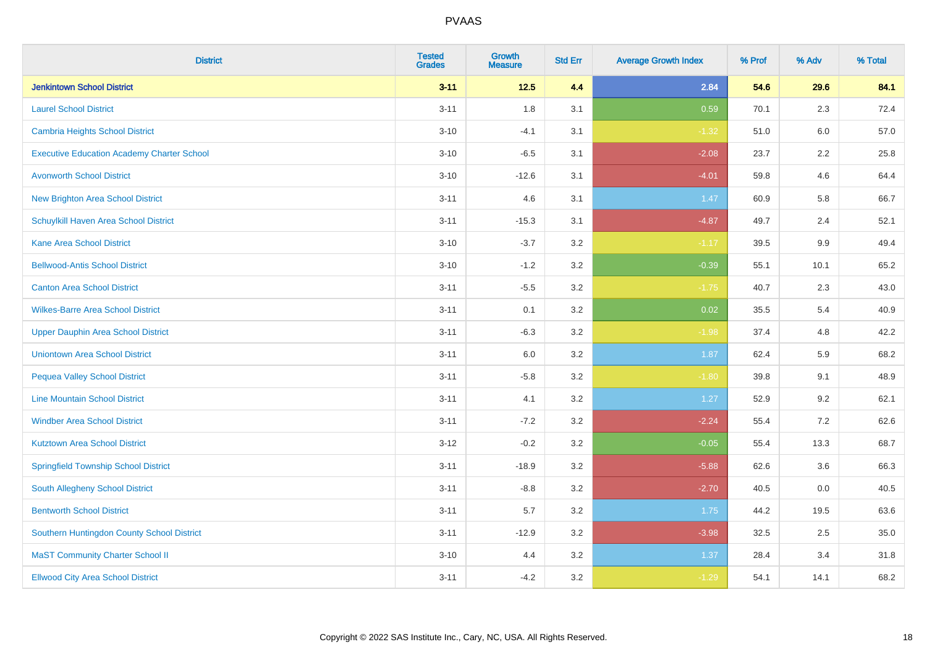| <b>District</b>                                   | <b>Tested</b><br><b>Grades</b> | Growth<br><b>Measure</b> | <b>Std Err</b> | <b>Average Growth Index</b> | % Prof | % Adv   | % Total |
|---------------------------------------------------|--------------------------------|--------------------------|----------------|-----------------------------|--------|---------|---------|
| <b>Jenkintown School District</b>                 | $3 - 11$                       | $12.5$                   | 4.4            | 2.84                        | 54.6   | 29.6    | 84.1    |
| <b>Laurel School District</b>                     | $3 - 11$                       | 1.8                      | 3.1            | 0.59                        | 70.1   | 2.3     | 72.4    |
| Cambria Heights School District                   | $3 - 10$                       | $-4.1$                   | 3.1            | $-1.32$                     | 51.0   | 6.0     | 57.0    |
| <b>Executive Education Academy Charter School</b> | $3 - 10$                       | $-6.5$                   | 3.1            | $-2.08$                     | 23.7   | $2.2\,$ | 25.8    |
| <b>Avonworth School District</b>                  | $3 - 10$                       | $-12.6$                  | 3.1            | $-4.01$                     | 59.8   | 4.6     | 64.4    |
| <b>New Brighton Area School District</b>          | $3 - 11$                       | 4.6                      | 3.1            | 1.47                        | 60.9   | 5.8     | 66.7    |
| Schuylkill Haven Area School District             | $3 - 11$                       | $-15.3$                  | 3.1            | $-4.87$                     | 49.7   | 2.4     | 52.1    |
| <b>Kane Area School District</b>                  | $3 - 10$                       | $-3.7$                   | 3.2            | $-1.17$                     | 39.5   | 9.9     | 49.4    |
| <b>Bellwood-Antis School District</b>             | $3 - 10$                       | $-1.2$                   | 3.2            | $-0.39$                     | 55.1   | 10.1    | 65.2    |
| <b>Canton Area School District</b>                | $3 - 11$                       | $-5.5$                   | 3.2            | $-1.75$                     | 40.7   | 2.3     | 43.0    |
| <b>Wilkes-Barre Area School District</b>          | $3 - 11$                       | 0.1                      | 3.2            | 0.02                        | 35.5   | 5.4     | 40.9    |
| <b>Upper Dauphin Area School District</b>         | $3 - 11$                       | $-6.3$                   | 3.2            | $-1.98$                     | 37.4   | 4.8     | 42.2    |
| <b>Uniontown Area School District</b>             | $3 - 11$                       | 6.0                      | 3.2            | 1.87                        | 62.4   | 5.9     | 68.2    |
| <b>Pequea Valley School District</b>              | $3 - 11$                       | $-5.8$                   | 3.2            | $-1.80$                     | 39.8   | 9.1     | 48.9    |
| <b>Line Mountain School District</b>              | $3 - 11$                       | 4.1                      | 3.2            | 1.27                        | 52.9   | 9.2     | 62.1    |
| <b>Windber Area School District</b>               | $3 - 11$                       | $-7.2$                   | 3.2            | $-2.24$                     | 55.4   | 7.2     | 62.6    |
| <b>Kutztown Area School District</b>              | $3 - 12$                       | $-0.2$                   | 3.2            | $-0.05$                     | 55.4   | 13.3    | 68.7    |
| <b>Springfield Township School District</b>       | $3 - 11$                       | $-18.9$                  | 3.2            | $-5.88$                     | 62.6   | 3.6     | 66.3    |
| South Allegheny School District                   | $3 - 11$                       | $-8.8$                   | 3.2            | $-2.70$                     | 40.5   | 0.0     | 40.5    |
| <b>Bentworth School District</b>                  | $3 - 11$                       | 5.7                      | 3.2            | 1.75                        | 44.2   | 19.5    | 63.6    |
| Southern Huntingdon County School District        | $3 - 11$                       | $-12.9$                  | 3.2            | $-3.98$                     | 32.5   | 2.5     | 35.0    |
| <b>MaST Community Charter School II</b>           | $3 - 10$                       | 4.4                      | 3.2            | 1.37                        | 28.4   | 3.4     | 31.8    |
| <b>Ellwood City Area School District</b>          | $3 - 11$                       | $-4.2$                   | 3.2            | $-1.29$                     | 54.1   | 14.1    | 68.2    |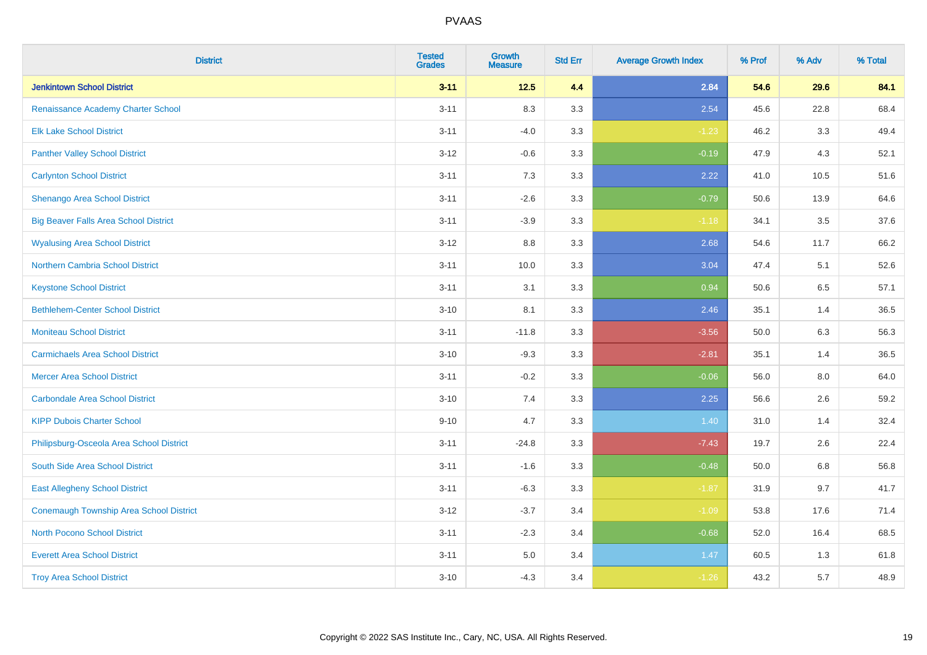| <b>District</b>                              | <b>Tested</b><br><b>Grades</b> | <b>Growth</b><br><b>Measure</b> | <b>Std Err</b> | <b>Average Growth Index</b> | % Prof | % Adv | % Total |
|----------------------------------------------|--------------------------------|---------------------------------|----------------|-----------------------------|--------|-------|---------|
| <b>Jenkintown School District</b>            | $3 - 11$                       | $12.5$                          | 4.4            | 2.84                        | 54.6   | 29.6  | 84.1    |
| Renaissance Academy Charter School           | $3 - 11$                       | 8.3                             | 3.3            | 2.54                        | 45.6   | 22.8  | 68.4    |
| <b>Elk Lake School District</b>              | $3 - 11$                       | $-4.0$                          | 3.3            | $-1.23$                     | 46.2   | 3.3   | 49.4    |
| <b>Panther Valley School District</b>        | $3 - 12$                       | $-0.6$                          | 3.3            | $-0.19$                     | 47.9   | 4.3   | 52.1    |
| <b>Carlynton School District</b>             | $3 - 11$                       | 7.3                             | 3.3            | 2.22                        | 41.0   | 10.5  | 51.6    |
| Shenango Area School District                | $3 - 11$                       | $-2.6$                          | 3.3            | $-0.79$                     | 50.6   | 13.9  | 64.6    |
| <b>Big Beaver Falls Area School District</b> | $3 - 11$                       | $-3.9$                          | 3.3            | $-1.18$                     | 34.1   | 3.5   | 37.6    |
| <b>Wyalusing Area School District</b>        | $3 - 12$                       | 8.8                             | 3.3            | 2.68                        | 54.6   | 11.7  | 66.2    |
| <b>Northern Cambria School District</b>      | $3 - 11$                       | 10.0                            | 3.3            | 3.04                        | 47.4   | 5.1   | 52.6    |
| <b>Keystone School District</b>              | $3 - 11$                       | 3.1                             | 3.3            | 0.94                        | 50.6   | 6.5   | 57.1    |
| <b>Bethlehem-Center School District</b>      | $3 - 10$                       | 8.1                             | 3.3            | 2.46                        | 35.1   | 1.4   | 36.5    |
| <b>Moniteau School District</b>              | $3 - 11$                       | $-11.8$                         | 3.3            | $-3.56$                     | 50.0   | 6.3   | 56.3    |
| <b>Carmichaels Area School District</b>      | $3 - 10$                       | $-9.3$                          | 3.3            | $-2.81$                     | 35.1   | 1.4   | 36.5    |
| <b>Mercer Area School District</b>           | $3 - 11$                       | $-0.2$                          | 3.3            | $-0.06$                     | 56.0   | 8.0   | 64.0    |
| <b>Carbondale Area School District</b>       | $3 - 10$                       | 7.4                             | 3.3            | 2.25                        | 56.6   | 2.6   | 59.2    |
| <b>KIPP Dubois Charter School</b>            | $9 - 10$                       | 4.7                             | 3.3            | 1.40                        | 31.0   | 1.4   | 32.4    |
| Philipsburg-Osceola Area School District     | $3 - 11$                       | $-24.8$                         | 3.3            | $-7.43$                     | 19.7   | 2.6   | 22.4    |
| South Side Area School District              | $3 - 11$                       | $-1.6$                          | 3.3            | $-0.48$                     | 50.0   | 6.8   | 56.8    |
| <b>East Allegheny School District</b>        | $3 - 11$                       | $-6.3$                          | 3.3            | $-1.87$                     | 31.9   | 9.7   | 41.7    |
| Conemaugh Township Area School District      | $3 - 12$                       | $-3.7$                          | 3.4            | $-1.09$                     | 53.8   | 17.6  | 71.4    |
| <b>North Pocono School District</b>          | $3 - 11$                       | $-2.3$                          | 3.4            | $-0.68$                     | 52.0   | 16.4  | 68.5    |
| <b>Everett Area School District</b>          | $3 - 11$                       | $5.0\,$                         | 3.4            | 1.47                        | 60.5   | 1.3   | 61.8    |
| <b>Troy Area School District</b>             | $3 - 10$                       | $-4.3$                          | 3.4            | $-1.26$                     | 43.2   | 5.7   | 48.9    |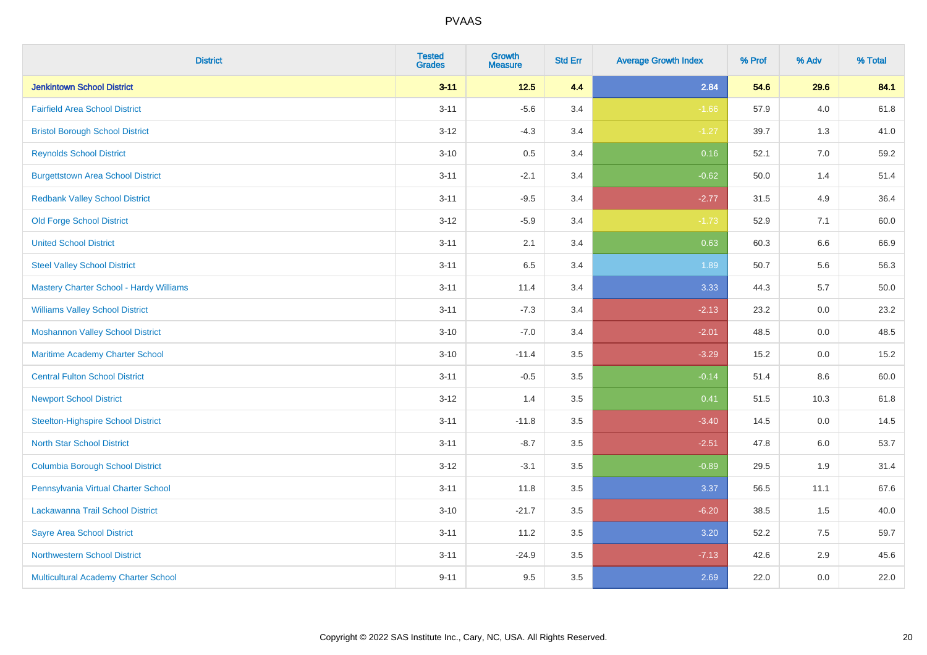| <b>District</b>                             | <b>Tested</b><br><b>Grades</b> | <b>Growth</b><br><b>Measure</b> | <b>Std Err</b> | <b>Average Growth Index</b> | % Prof | % Adv | % Total |
|---------------------------------------------|--------------------------------|---------------------------------|----------------|-----------------------------|--------|-------|---------|
| <b>Jenkintown School District</b>           | $3 - 11$                       | $12.5$                          | 4.4            | 2.84                        | 54.6   | 29.6  | 84.1    |
| <b>Fairfield Area School District</b>       | $3 - 11$                       | $-5.6$                          | 3.4            | $-1.66$                     | 57.9   | 4.0   | 61.8    |
| <b>Bristol Borough School District</b>      | $3 - 12$                       | $-4.3$                          | 3.4            | $-1.27$                     | 39.7   | 1.3   | 41.0    |
| <b>Reynolds School District</b>             | $3 - 10$                       | $0.5\,$                         | 3.4            | 0.16                        | 52.1   | 7.0   | 59.2    |
| <b>Burgettstown Area School District</b>    | $3 - 11$                       | $-2.1$                          | 3.4            | $-0.62$                     | 50.0   | 1.4   | 51.4    |
| <b>Redbank Valley School District</b>       | $3 - 11$                       | $-9.5$                          | 3.4            | $-2.77$                     | 31.5   | 4.9   | 36.4    |
| <b>Old Forge School District</b>            | $3 - 12$                       | $-5.9$                          | 3.4            | $-1.73$                     | 52.9   | 7.1   | 60.0    |
| <b>United School District</b>               | $3 - 11$                       | 2.1                             | 3.4            | 0.63                        | 60.3   | 6.6   | 66.9    |
| <b>Steel Valley School District</b>         | $3 - 11$                       | 6.5                             | 3.4            | 1.89                        | 50.7   | 5.6   | 56.3    |
| Mastery Charter School - Hardy Williams     | $3 - 11$                       | 11.4                            | 3.4            | 3.33                        | 44.3   | 5.7   | 50.0    |
| <b>Williams Valley School District</b>      | $3 - 11$                       | $-7.3$                          | 3.4            | $-2.13$                     | 23.2   | 0.0   | 23.2    |
| <b>Moshannon Valley School District</b>     | $3 - 10$                       | $-7.0$                          | 3.4            | $-2.01$                     | 48.5   | 0.0   | 48.5    |
| Maritime Academy Charter School             | $3 - 10$                       | $-11.4$                         | 3.5            | $-3.29$                     | 15.2   | 0.0   | 15.2    |
| <b>Central Fulton School District</b>       | $3 - 11$                       | $-0.5$                          | 3.5            | $-0.14$                     | 51.4   | 8.6   | 60.0    |
| <b>Newport School District</b>              | $3 - 12$                       | 1.4                             | 3.5            | 0.41                        | 51.5   | 10.3  | 61.8    |
| <b>Steelton-Highspire School District</b>   | $3 - 11$                       | $-11.8$                         | 3.5            | $-3.40$                     | 14.5   | 0.0   | 14.5    |
| <b>North Star School District</b>           | $3 - 11$                       | $-8.7$                          | 3.5            | $-2.51$                     | 47.8   | 6.0   | 53.7    |
| <b>Columbia Borough School District</b>     | $3 - 12$                       | $-3.1$                          | 3.5            | $-0.89$                     | 29.5   | 1.9   | 31.4    |
| Pennsylvania Virtual Charter School         | $3 - 11$                       | 11.8                            | 3.5            | 3.37                        | 56.5   | 11.1  | 67.6    |
| Lackawanna Trail School District            | $3 - 10$                       | $-21.7$                         | 3.5            | $-6.20$                     | 38.5   | 1.5   | 40.0    |
| <b>Sayre Area School District</b>           | $3 - 11$                       | 11.2                            | 3.5            | 3.20                        | 52.2   | 7.5   | 59.7    |
| <b>Northwestern School District</b>         | $3 - 11$                       | $-24.9$                         | 3.5            | $-7.13$                     | 42.6   | 2.9   | 45.6    |
| <b>Multicultural Academy Charter School</b> | $9 - 11$                       | 9.5                             | 3.5            | 2.69                        | 22.0   | 0.0   | 22.0    |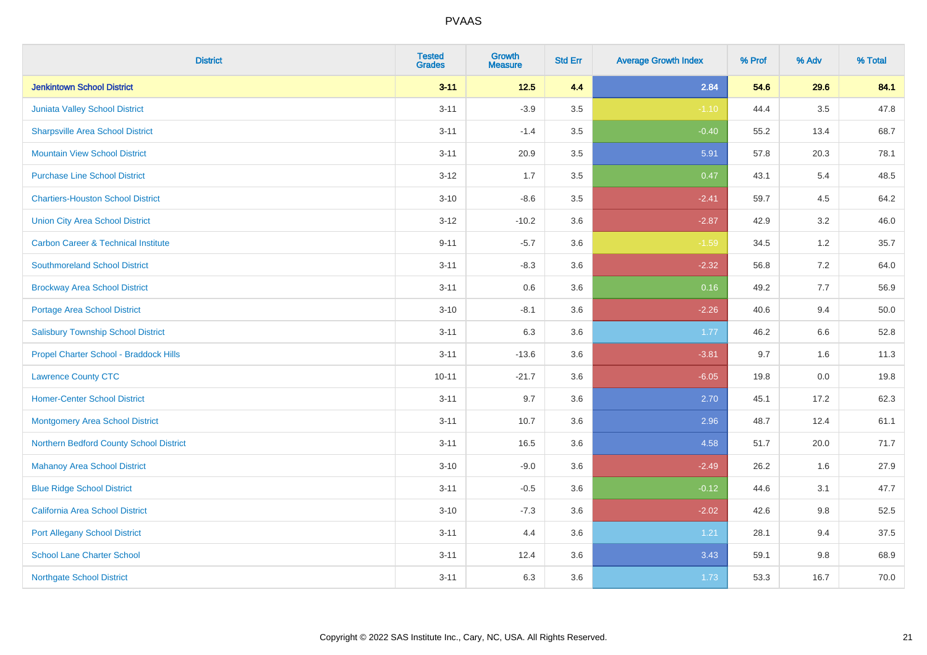| <b>District</b>                                | <b>Tested</b><br><b>Grades</b> | <b>Growth</b><br><b>Measure</b> | <b>Std Err</b> | <b>Average Growth Index</b> | % Prof | % Adv   | % Total |
|------------------------------------------------|--------------------------------|---------------------------------|----------------|-----------------------------|--------|---------|---------|
| <b>Jenkintown School District</b>              | $3 - 11$                       | $12.5$                          | 4.4            | 2.84                        | 54.6   | 29.6    | 84.1    |
| Juniata Valley School District                 | $3 - 11$                       | $-3.9$                          | 3.5            | $-1.10$                     | 44.4   | $3.5\,$ | 47.8    |
| <b>Sharpsville Area School District</b>        | $3 - 11$                       | $-1.4$                          | 3.5            | $-0.40$                     | 55.2   | 13.4    | 68.7    |
| <b>Mountain View School District</b>           | $3 - 11$                       | 20.9                            | 3.5            | 5.91                        | 57.8   | 20.3    | 78.1    |
| <b>Purchase Line School District</b>           | $3 - 12$                       | 1.7                             | 3.5            | 0.47                        | 43.1   | 5.4     | 48.5    |
| <b>Chartiers-Houston School District</b>       | $3 - 10$                       | $-8.6$                          | 3.5            | $-2.41$                     | 59.7   | 4.5     | 64.2    |
| <b>Union City Area School District</b>         | $3-12$                         | $-10.2$                         | 3.6            | $-2.87$                     | 42.9   | 3.2     | 46.0    |
| <b>Carbon Career &amp; Technical Institute</b> | $9 - 11$                       | $-5.7$                          | 3.6            | $-1.59$                     | 34.5   | 1.2     | 35.7    |
| <b>Southmoreland School District</b>           | $3 - 11$                       | $-8.3$                          | 3.6            | $-2.32$                     | 56.8   | $7.2\,$ | 64.0    |
| <b>Brockway Area School District</b>           | $3 - 11$                       | 0.6                             | 3.6            | 0.16                        | 49.2   | 7.7     | 56.9    |
| <b>Portage Area School District</b>            | $3 - 10$                       | $-8.1$                          | 3.6            | $-2.26$                     | 40.6   | 9.4     | 50.0    |
| <b>Salisbury Township School District</b>      | $3 - 11$                       | 6.3                             | 3.6            | 1.77                        | 46.2   | 6.6     | 52.8    |
| Propel Charter School - Braddock Hills         | $3 - 11$                       | $-13.6$                         | 3.6            | $-3.81$                     | 9.7    | 1.6     | 11.3    |
| <b>Lawrence County CTC</b>                     | $10 - 11$                      | $-21.7$                         | 3.6            | $-6.05$                     | 19.8   | $0.0\,$ | 19.8    |
| <b>Homer-Center School District</b>            | $3 - 11$                       | 9.7                             | 3.6            | 2.70                        | 45.1   | 17.2    | 62.3    |
| Montgomery Area School District                | $3 - 11$                       | 10.7                            | 3.6            | 2.96                        | 48.7   | 12.4    | 61.1    |
| Northern Bedford County School District        | $3 - 11$                       | 16.5                            | 3.6            | 4.58                        | 51.7   | 20.0    | 71.7    |
| <b>Mahanoy Area School District</b>            | $3 - 10$                       | $-9.0$                          | 3.6            | $-2.49$                     | 26.2   | 1.6     | 27.9    |
| <b>Blue Ridge School District</b>              | $3 - 11$                       | $-0.5$                          | 3.6            | $-0.12$                     | 44.6   | 3.1     | 47.7    |
| California Area School District                | $3 - 10$                       | $-7.3$                          | 3.6            | $-2.02$                     | 42.6   | 9.8     | 52.5    |
| <b>Port Allegany School District</b>           | $3 - 11$                       | 4.4                             | 3.6            | 1.21                        | 28.1   | 9.4     | 37.5    |
| <b>School Lane Charter School</b>              | $3 - 11$                       | 12.4                            | 3.6            | 3.43                        | 59.1   | 9.8     | 68.9    |
| <b>Northgate School District</b>               | $3 - 11$                       | 6.3                             | 3.6            | 1.73                        | 53.3   | 16.7    | 70.0    |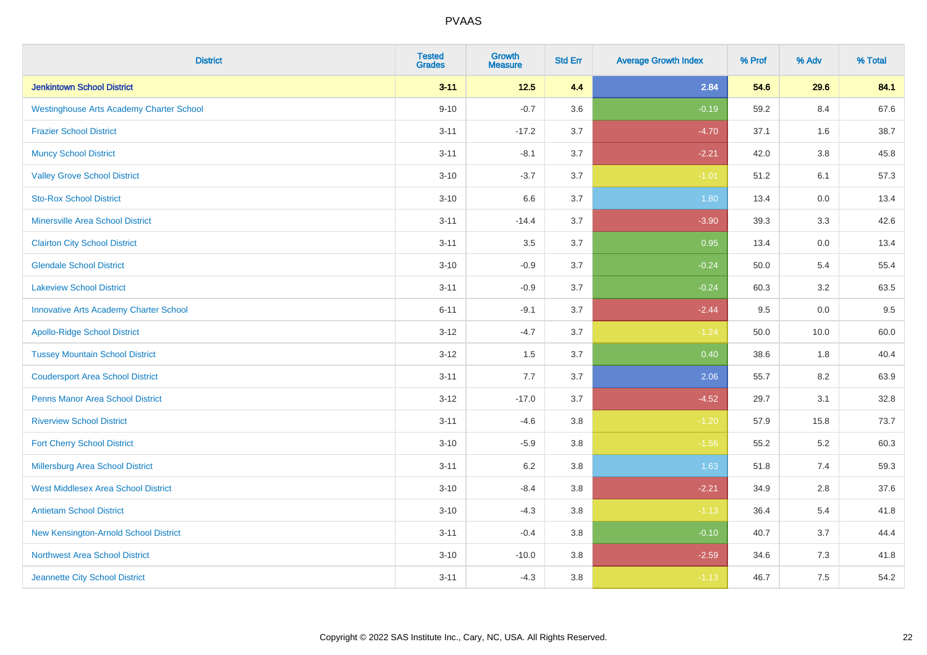| <b>District</b>                                 | <b>Tested</b><br><b>Grades</b> | Growth<br><b>Measure</b> | <b>Std Err</b> | <b>Average Growth Index</b> | % Prof | % Adv   | % Total |
|-------------------------------------------------|--------------------------------|--------------------------|----------------|-----------------------------|--------|---------|---------|
| <b>Jenkintown School District</b>               | $3 - 11$                       | $12.5$                   | 4.4            | 2.84                        | 54.6   | 29.6    | 84.1    |
| <b>Westinghouse Arts Academy Charter School</b> | $9 - 10$                       | $-0.7$                   | 3.6            | $-0.19$                     | 59.2   | 8.4     | 67.6    |
| <b>Frazier School District</b>                  | $3 - 11$                       | $-17.2$                  | 3.7            | $-4.70$                     | 37.1   | 1.6     | 38.7    |
| <b>Muncy School District</b>                    | $3 - 11$                       | $-8.1$                   | 3.7            | $-2.21$                     | 42.0   | $3.8\,$ | 45.8    |
| <b>Valley Grove School District</b>             | $3 - 10$                       | $-3.7$                   | 3.7            | $-1.01$                     | 51.2   | 6.1     | 57.3    |
| <b>Sto-Rox School District</b>                  | $3 - 10$                       | 6.6                      | 3.7            | 1.80                        | 13.4   | 0.0     | 13.4    |
| <b>Minersville Area School District</b>         | $3 - 11$                       | $-14.4$                  | 3.7            | $-3.90$                     | 39.3   | 3.3     | 42.6    |
| <b>Clairton City School District</b>            | $3 - 11$                       | 3.5                      | 3.7            | 0.95                        | 13.4   | 0.0     | 13.4    |
| <b>Glendale School District</b>                 | $3 - 10$                       | $-0.9$                   | 3.7            | $-0.24$                     | 50.0   | 5.4     | 55.4    |
| <b>Lakeview School District</b>                 | $3 - 11$                       | $-0.9$                   | 3.7            | $-0.24$                     | 60.3   | 3.2     | 63.5    |
| <b>Innovative Arts Academy Charter School</b>   | $6 - 11$                       | $-9.1$                   | 3.7            | $-2.44$                     | 9.5    | 0.0     | 9.5     |
| <b>Apollo-Ridge School District</b>             | $3 - 12$                       | $-4.7$                   | 3.7            | $-1.24$                     | 50.0   | 10.0    | 60.0    |
| <b>Tussey Mountain School District</b>          | $3 - 12$                       | 1.5                      | 3.7            | 0.40                        | 38.6   | 1.8     | 40.4    |
| <b>Coudersport Area School District</b>         | $3 - 11$                       | 7.7                      | 3.7            | 2.06                        | 55.7   | 8.2     | 63.9    |
| <b>Penns Manor Area School District</b>         | $3 - 12$                       | $-17.0$                  | 3.7            | $-4.52$                     | 29.7   | 3.1     | 32.8    |
| <b>Riverview School District</b>                | $3 - 11$                       | $-4.6$                   | 3.8            | $-1.20$                     | 57.9   | 15.8    | 73.7    |
| <b>Fort Cherry School District</b>              | $3 - 10$                       | $-5.9$                   | 3.8            | $-1.56$                     | 55.2   | 5.2     | 60.3    |
| Millersburg Area School District                | $3 - 11$                       | $6.2\,$                  | 3.8            | 1.63                        | 51.8   | 7.4     | 59.3    |
| <b>West Middlesex Area School District</b>      | $3 - 10$                       | $-8.4$                   | 3.8            | $-2.21$                     | 34.9   | 2.8     | 37.6    |
| <b>Antietam School District</b>                 | $3 - 10$                       | $-4.3$                   | $3.8\,$        | $-1.13$                     | 36.4   | 5.4     | 41.8    |
| New Kensington-Arnold School District           | $3 - 11$                       | $-0.4$                   | 3.8            | $-0.10$                     | 40.7   | 3.7     | 44.4    |
| Northwest Area School District                  | $3 - 10$                       | $-10.0$                  | 3.8            | $-2.59$                     | 34.6   | 7.3     | 41.8    |
| Jeannette City School District                  | $3 - 11$                       | $-4.3$                   | 3.8            | $-1.13$                     | 46.7   | 7.5     | 54.2    |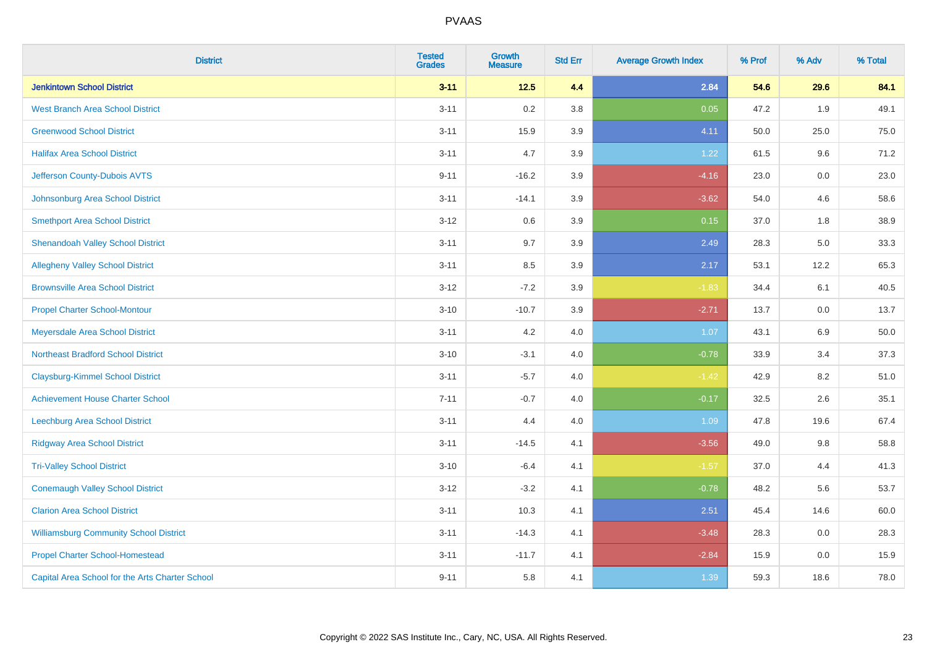| <b>District</b>                                 | <b>Tested</b><br><b>Grades</b> | <b>Growth</b><br><b>Measure</b> | <b>Std Err</b> | <b>Average Growth Index</b> | % Prof | % Adv | % Total |
|-------------------------------------------------|--------------------------------|---------------------------------|----------------|-----------------------------|--------|-------|---------|
| <b>Jenkintown School District</b>               | $3 - 11$                       | $12.5$                          | 4.4            | 2.84                        | 54.6   | 29.6  | 84.1    |
| <b>West Branch Area School District</b>         | $3 - 11$                       | 0.2                             | 3.8            | 0.05                        | 47.2   | 1.9   | 49.1    |
| <b>Greenwood School District</b>                | $3 - 11$                       | 15.9                            | 3.9            | 4.11                        | 50.0   | 25.0  | 75.0    |
| <b>Halifax Area School District</b>             | $3 - 11$                       | 4.7                             | 3.9            | 1.22                        | 61.5   | 9.6   | 71.2    |
| Jefferson County-Dubois AVTS                    | $9 - 11$                       | $-16.2$                         | 3.9            | $-4.16$                     | 23.0   | 0.0   | 23.0    |
| Johnsonburg Area School District                | $3 - 11$                       | $-14.1$                         | 3.9            | $-3.62$                     | 54.0   | 4.6   | 58.6    |
| <b>Smethport Area School District</b>           | $3 - 12$                       | 0.6                             | 3.9            | 0.15                        | 37.0   | 1.8   | 38.9    |
| <b>Shenandoah Valley School District</b>        | $3 - 11$                       | 9.7                             | 3.9            | 2.49                        | 28.3   | 5.0   | 33.3    |
| <b>Allegheny Valley School District</b>         | $3 - 11$                       | 8.5                             | 3.9            | 2.17                        | 53.1   | 12.2  | 65.3    |
| <b>Brownsville Area School District</b>         | $3 - 12$                       | $-7.2$                          | 3.9            | $-1.83$                     | 34.4   | 6.1   | 40.5    |
| <b>Propel Charter School-Montour</b>            | $3 - 10$                       | $-10.7$                         | 3.9            | $-2.71$                     | 13.7   | 0.0   | 13.7    |
| Meyersdale Area School District                 | $3 - 11$                       | 4.2                             | 4.0            | 1.07                        | 43.1   | 6.9   | 50.0    |
| <b>Northeast Bradford School District</b>       | $3 - 10$                       | $-3.1$                          | 4.0            | $-0.78$                     | 33.9   | 3.4   | 37.3    |
| <b>Claysburg-Kimmel School District</b>         | $3 - 11$                       | $-5.7$                          | 4.0            | $-1.42$                     | 42.9   | 8.2   | 51.0    |
| <b>Achievement House Charter School</b>         | $7 - 11$                       | $-0.7$                          | 4.0            | $-0.17$                     | 32.5   | 2.6   | 35.1    |
| Leechburg Area School District                  | $3 - 11$                       | 4.4                             | 4.0            | 1.09                        | 47.8   | 19.6  | 67.4    |
| <b>Ridgway Area School District</b>             | $3 - 11$                       | $-14.5$                         | 4.1            | $-3.56$                     | 49.0   | 9.8   | 58.8    |
| <b>Tri-Valley School District</b>               | $3 - 10$                       | $-6.4$                          | 4.1            | $-1.57$                     | 37.0   | 4.4   | 41.3    |
| <b>Conemaugh Valley School District</b>         | $3 - 12$                       | $-3.2$                          | 4.1            | $-0.78$                     | 48.2   | 5.6   | 53.7    |
| <b>Clarion Area School District</b>             | $3 - 11$                       | 10.3                            | 4.1            | 2.51                        | 45.4   | 14.6  | 60.0    |
| <b>Williamsburg Community School District</b>   | $3 - 11$                       | $-14.3$                         | 4.1            | $-3.48$                     | 28.3   | 0.0   | 28.3    |
| <b>Propel Charter School-Homestead</b>          | $3 - 11$                       | $-11.7$                         | 4.1            | $-2.84$                     | 15.9   | 0.0   | 15.9    |
| Capital Area School for the Arts Charter School | $9 - 11$                       | 5.8                             | 4.1            | 1.39                        | 59.3   | 18.6  | 78.0    |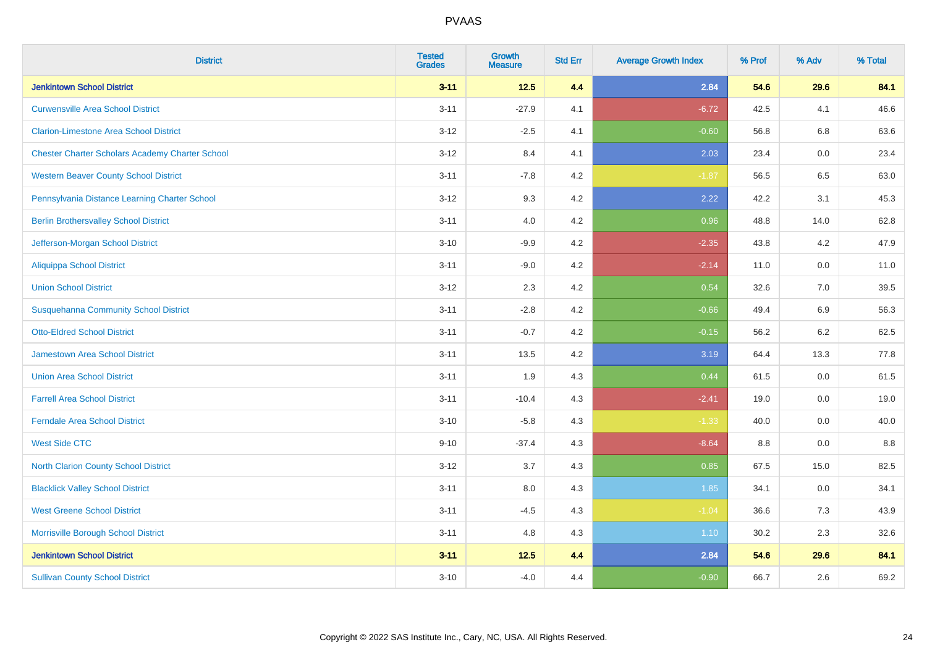| <b>District</b>                                        | <b>Tested</b><br><b>Grades</b> | Growth<br><b>Measure</b> | <b>Std Err</b> | <b>Average Growth Index</b> | % Prof | % Adv   | % Total |
|--------------------------------------------------------|--------------------------------|--------------------------|----------------|-----------------------------|--------|---------|---------|
| <b>Jenkintown School District</b>                      | $3 - 11$                       | $12.5$                   | 4.4            | 2.84                        | 54.6   | 29.6    | 84.1    |
| <b>Curwensville Area School District</b>               | $3 - 11$                       | $-27.9$                  | 4.1            | $-6.72$                     | 42.5   | 4.1     | 46.6    |
| <b>Clarion-Limestone Area School District</b>          | $3 - 12$                       | $-2.5$                   | 4.1            | $-0.60$                     | 56.8   | 6.8     | 63.6    |
| <b>Chester Charter Scholars Academy Charter School</b> | $3 - 12$                       | 8.4                      | 4.1            | 2.03                        | 23.4   | 0.0     | 23.4    |
| <b>Western Beaver County School District</b>           | $3 - 11$                       | $-7.8$                   | 4.2            | $-1.87$                     | 56.5   | 6.5     | 63.0    |
| Pennsylvania Distance Learning Charter School          | $3 - 12$                       | 9.3                      | 4.2            | 2.22                        | 42.2   | 3.1     | 45.3    |
| <b>Berlin Brothersvalley School District</b>           | $3 - 11$                       | 4.0                      | 4.2            | 0.96                        | 48.8   | 14.0    | 62.8    |
| Jefferson-Morgan School District                       | $3 - 10$                       | $-9.9$                   | 4.2            | $-2.35$                     | 43.8   | 4.2     | 47.9    |
| <b>Aliquippa School District</b>                       | $3 - 11$                       | $-9.0$                   | 4.2            | $-2.14$                     | 11.0   | 0.0     | 11.0    |
| <b>Union School District</b>                           | $3 - 12$                       | $2.3\,$                  | 4.2            | 0.54                        | 32.6   | 7.0     | 39.5    |
| <b>Susquehanna Community School District</b>           | $3 - 11$                       | $-2.8$                   | 4.2            | $-0.66$                     | 49.4   | 6.9     | 56.3    |
| <b>Otto-Eldred School District</b>                     | $3 - 11$                       | $-0.7$                   | 4.2            | $-0.15$                     | 56.2   | $6.2\,$ | 62.5    |
| Jamestown Area School District                         | $3 - 11$                       | 13.5                     | 4.2            | 3.19                        | 64.4   | 13.3    | 77.8    |
| <b>Union Area School District</b>                      | $3 - 11$                       | 1.9                      | 4.3            | 0.44                        | 61.5   | 0.0     | 61.5    |
| <b>Farrell Area School District</b>                    | $3 - 11$                       | $-10.4$                  | 4.3            | $-2.41$                     | 19.0   | 0.0     | 19.0    |
| <b>Ferndale Area School District</b>                   | $3 - 10$                       | $-5.8$                   | 4.3            | $-1.33$                     | 40.0   | 0.0     | 40.0    |
| <b>West Side CTC</b>                                   | $9 - 10$                       | $-37.4$                  | 4.3            | $-8.64$                     | 8.8    | 0.0     | 8.8     |
| <b>North Clarion County School District</b>            | $3 - 12$                       | 3.7                      | 4.3            | 0.85                        | 67.5   | 15.0    | 82.5    |
| <b>Blacklick Valley School District</b>                | $3 - 11$                       | 8.0                      | 4.3            | 1.85                        | 34.1   | 0.0     | 34.1    |
| <b>West Greene School District</b>                     | $3 - 11$                       | $-4.5$                   | 4.3            | $-1.04$                     | 36.6   | 7.3     | 43.9    |
| Morrisville Borough School District                    | $3 - 11$                       | 4.8                      | 4.3            | 1.10                        | 30.2   | 2.3     | 32.6    |
| <b>Jenkintown School District</b>                      | $3 - 11$                       | 12.5                     | 4.4            | 2.84                        | 54.6   | 29.6    | 84.1    |
| <b>Sullivan County School District</b>                 | $3 - 10$                       | $-4.0$                   | 4.4            | $-0.90$                     | 66.7   | 2.6     | 69.2    |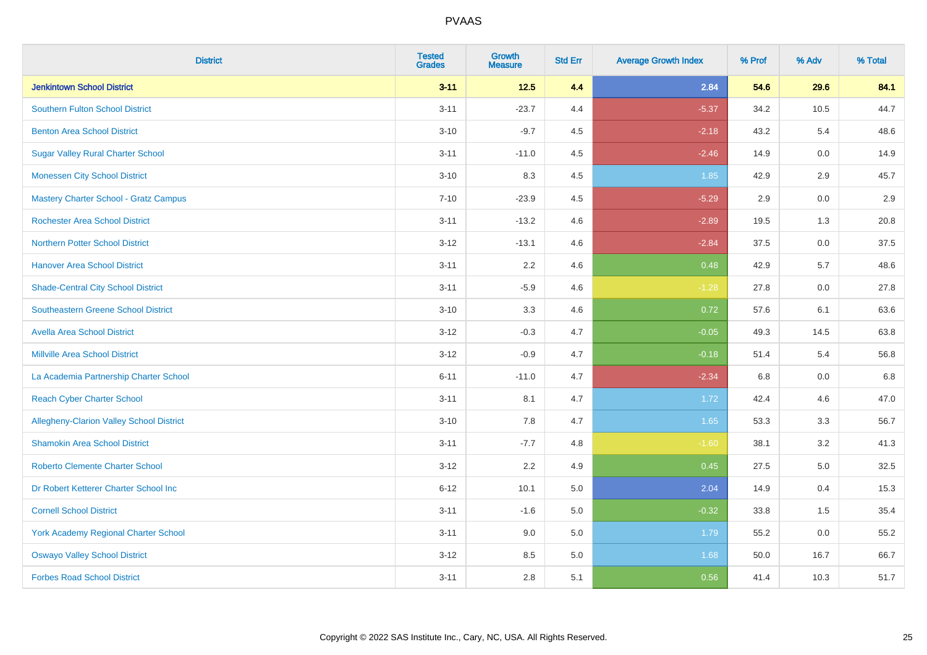| <b>District</b>                                 | <b>Tested</b><br><b>Grades</b> | <b>Growth</b><br><b>Measure</b> | <b>Std Err</b> | <b>Average Growth Index</b> | % Prof | % Adv   | % Total |
|-------------------------------------------------|--------------------------------|---------------------------------|----------------|-----------------------------|--------|---------|---------|
| <b>Jenkintown School District</b>               | $3 - 11$                       | $12.5$                          | 4.4            | 2.84                        | 54.6   | 29.6    | 84.1    |
| <b>Southern Fulton School District</b>          | $3 - 11$                       | $-23.7$                         | 4.4            | $-5.37$                     | 34.2   | 10.5    | 44.7    |
| <b>Benton Area School District</b>              | $3 - 10$                       | $-9.7$                          | 4.5            | $-2.18$                     | 43.2   | 5.4     | 48.6    |
| <b>Sugar Valley Rural Charter School</b>        | $3 - 11$                       | $-11.0$                         | 4.5            | $-2.46$                     | 14.9   | $0.0\,$ | 14.9    |
| <b>Monessen City School District</b>            | $3 - 10$                       | 8.3                             | 4.5            | 1.85                        | 42.9   | 2.9     | 45.7    |
| <b>Mastery Charter School - Gratz Campus</b>    | $7 - 10$                       | $-23.9$                         | 4.5            | $-5.29$                     | 2.9    | 0.0     | 2.9     |
| <b>Rochester Area School District</b>           | $3 - 11$                       | $-13.2$                         | 4.6            | $-2.89$                     | 19.5   | 1.3     | 20.8    |
| <b>Northern Potter School District</b>          | $3 - 12$                       | $-13.1$                         | 4.6            | $-2.84$                     | 37.5   | 0.0     | 37.5    |
| <b>Hanover Area School District</b>             | $3 - 11$                       | 2.2                             | 4.6            | 0.48                        | 42.9   | 5.7     | 48.6    |
| <b>Shade-Central City School District</b>       | $3 - 11$                       | $-5.9$                          | 4.6            | $-1.28$                     | 27.8   | 0.0     | 27.8    |
| <b>Southeastern Greene School District</b>      | $3 - 10$                       | 3.3                             | 4.6            | 0.72                        | 57.6   | 6.1     | 63.6    |
| <b>Avella Area School District</b>              | $3 - 12$                       | $-0.3$                          | 4.7            | $-0.05$                     | 49.3   | 14.5    | 63.8    |
| <b>Millville Area School District</b>           | $3 - 12$                       | $-0.9$                          | 4.7            | $-0.18$                     | 51.4   | 5.4     | 56.8    |
| La Academia Partnership Charter School          | $6 - 11$                       | $-11.0$                         | 4.7            | $-2.34$                     | 6.8    | 0.0     | 6.8     |
| <b>Reach Cyber Charter School</b>               | $3 - 11$                       | 8.1                             | 4.7            | 1.72                        | 42.4   | 4.6     | 47.0    |
| <b>Allegheny-Clarion Valley School District</b> | $3 - 10$                       | 7.8                             | 4.7            | 1.65                        | 53.3   | 3.3     | 56.7    |
| <b>Shamokin Area School District</b>            | $3 - 11$                       | $-7.7$                          | 4.8            | $-1.60$                     | 38.1   | 3.2     | 41.3    |
| <b>Roberto Clemente Charter School</b>          | $3 - 12$                       | 2.2                             | 4.9            | 0.45                        | 27.5   | 5.0     | 32.5    |
| Dr Robert Ketterer Charter School Inc           | $6 - 12$                       | 10.1                            | 5.0            | 2.04                        | 14.9   | 0.4     | 15.3    |
| <b>Cornell School District</b>                  | $3 - 11$                       | $-1.6$                          | 5.0            | $-0.32$                     | 33.8   | 1.5     | 35.4    |
| York Academy Regional Charter School            | $3 - 11$                       | 9.0                             | 5.0            | 1.79                        | 55.2   | 0.0     | 55.2    |
| <b>Oswayo Valley School District</b>            | $3 - 12$                       | 8.5                             | 5.0            | 1.68                        | 50.0   | 16.7    | 66.7    |
| <b>Forbes Road School District</b>              | $3 - 11$                       | 2.8                             | 5.1            | 0.56                        | 41.4   | 10.3    | 51.7    |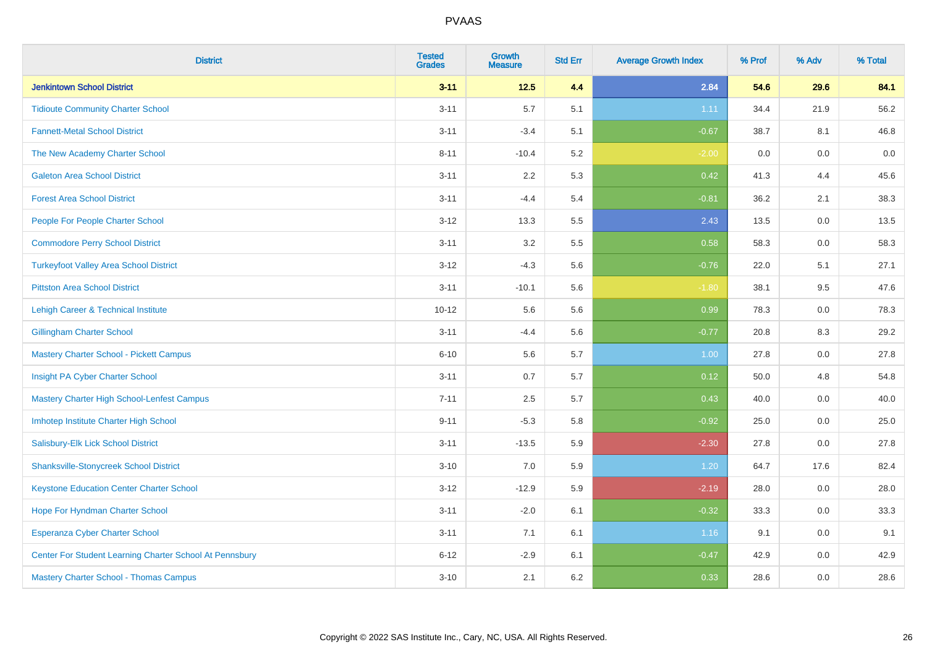| <b>District</b>                                         | <b>Tested</b><br><b>Grades</b> | <b>Growth</b><br><b>Measure</b> | <b>Std Err</b> | <b>Average Growth Index</b> | % Prof | % Adv   | % Total |
|---------------------------------------------------------|--------------------------------|---------------------------------|----------------|-----------------------------|--------|---------|---------|
| <b>Jenkintown School District</b>                       | $3 - 11$                       | $12.5$                          | 4.4            | 2.84                        | 54.6   | 29.6    | 84.1    |
| <b>Tidioute Community Charter School</b>                | $3 - 11$                       | 5.7                             | 5.1            | 1.11                        | 34.4   | 21.9    | 56.2    |
| <b>Fannett-Metal School District</b>                    | $3 - 11$                       | $-3.4$                          | 5.1            | $-0.67$                     | 38.7   | 8.1     | 46.8    |
| The New Academy Charter School                          | $8 - 11$                       | $-10.4$                         | 5.2            | $-2.00$                     | 0.0    | 0.0     | $0.0\,$ |
| <b>Galeton Area School District</b>                     | $3 - 11$                       | 2.2                             | 5.3            | 0.42                        | 41.3   | 4.4     | 45.6    |
| <b>Forest Area School District</b>                      | $3 - 11$                       | $-4.4$                          | 5.4            | $-0.81$                     | 36.2   | 2.1     | 38.3    |
| People For People Charter School                        | $3 - 12$                       | 13.3                            | 5.5            | 2.43                        | 13.5   | $0.0\,$ | 13.5    |
| <b>Commodore Perry School District</b>                  | $3 - 11$                       | 3.2                             | 5.5            | 0.58                        | 58.3   | 0.0     | 58.3    |
| <b>Turkeyfoot Valley Area School District</b>           | $3 - 12$                       | $-4.3$                          | 5.6            | $-0.76$                     | 22.0   | 5.1     | 27.1    |
| <b>Pittston Area School District</b>                    | $3 - 11$                       | $-10.1$                         | 5.6            | $-1.80$                     | 38.1   | $9.5\,$ | 47.6    |
| Lehigh Career & Technical Institute                     | $10 - 12$                      | 5.6                             | 5.6            | 0.99                        | 78.3   | 0.0     | 78.3    |
| <b>Gillingham Charter School</b>                        | $3 - 11$                       | $-4.4$                          | 5.6            | $-0.77$                     | 20.8   | 8.3     | 29.2    |
| <b>Mastery Charter School - Pickett Campus</b>          | $6 - 10$                       | 5.6                             | 5.7            | 1.00                        | 27.8   | 0.0     | 27.8    |
| Insight PA Cyber Charter School                         | $3 - 11$                       | 0.7                             | 5.7            | 0.12                        | 50.0   | 4.8     | 54.8    |
| Mastery Charter High School-Lenfest Campus              | $7 - 11$                       | 2.5                             | 5.7            | 0.43                        | 40.0   | 0.0     | 40.0    |
| Imhotep Institute Charter High School                   | $9 - 11$                       | $-5.3$                          | 5.8            | $-0.92$                     | 25.0   | 0.0     | 25.0    |
| Salisbury-Elk Lick School District                      | $3 - 11$                       | $-13.5$                         | 5.9            | $-2.30$                     | 27.8   | 0.0     | 27.8    |
| <b>Shanksville-Stonycreek School District</b>           | $3 - 10$                       | 7.0                             | 5.9            | 1.20                        | 64.7   | 17.6    | 82.4    |
| <b>Keystone Education Center Charter School</b>         | $3 - 12$                       | $-12.9$                         | 5.9            | $-2.19$                     | 28.0   | 0.0     | 28.0    |
| Hope For Hyndman Charter School                         | $3 - 11$                       | $-2.0$                          | 6.1            | $-0.32$                     | 33.3   | 0.0     | 33.3    |
| <b>Esperanza Cyber Charter School</b>                   | $3 - 11$                       | 7.1                             | 6.1            | 1.16                        | 9.1    | 0.0     | 9.1     |
| Center For Student Learning Charter School At Pennsbury | $6 - 12$                       | $-2.9$                          | 6.1            | $-0.47$                     | 42.9   | 0.0     | 42.9    |
| <b>Mastery Charter School - Thomas Campus</b>           | $3 - 10$                       | 2.1                             | 6.2            | 0.33                        | 28.6   | 0.0     | 28.6    |